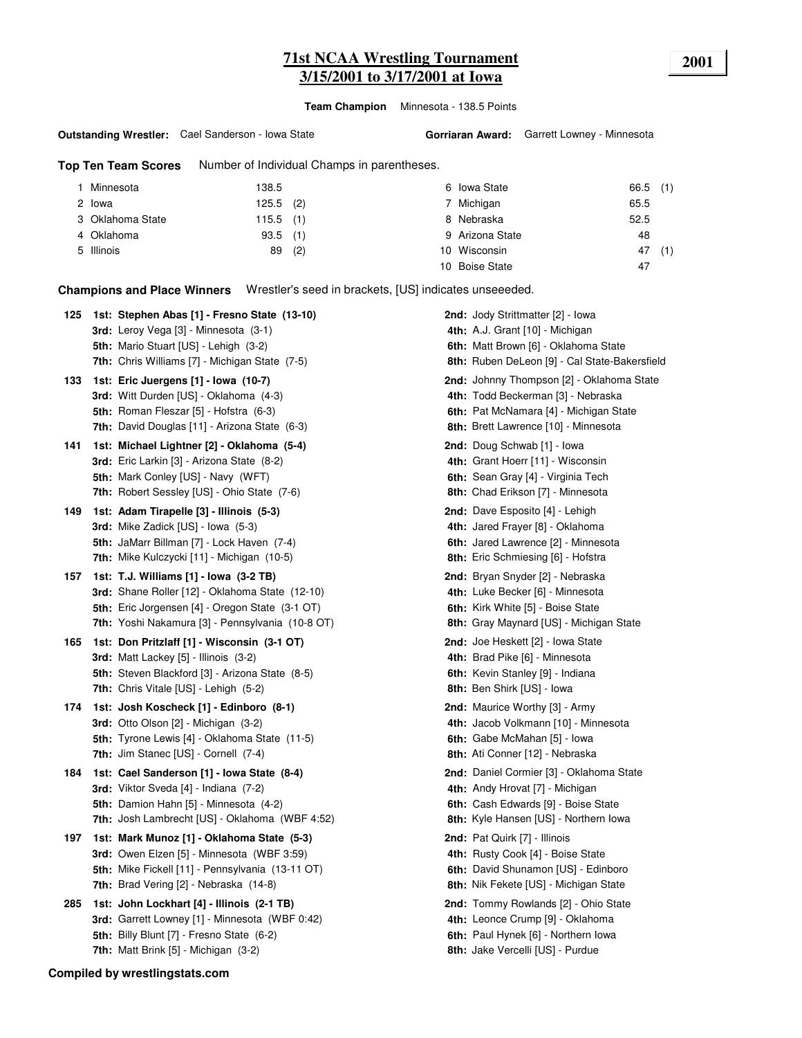# **71st NCAA Wrestling Tournament 2001 3/15/2001 to 3/17/2001 at Iowa**

**Team Champion** Minnesota - 138.5 Points

#### **Outstanding Wrestler:** Cael Sanderson - Iowa State

**Gorriaran Award:** Garrett Lowney - Minnesota

**Top Ten Team Scores** Number of Individual Champs in parentheses.

| Minnesota        | 138.5       |     | 6 Iowa State    | $66.5$ (1) |     |
|------------------|-------------|-----|-----------------|------------|-----|
| 2 lowa           | $125.5$ (2) |     | 7 Michigan      | 65.5       |     |
| 3 Oklahoma State | $115.5$ (1) |     | 8 Nebraska      | 52.5       |     |
| 4 Oklahoma       | $93.5$ (1)  |     | 9 Arizona State | 48         |     |
| 5 Illinois       | 89          | (2) | 10 Wisconsin    | 47         | (1) |
|                  |             |     | 10 Boise State  | 47         |     |

**Champions and Place Winners** Wrestler's seed in brackets, [US] indicates unseeeded.

| 125 | 1st: Stephen Abas [1] - Fresno State (13-10)<br>3rd: Leroy Vega [3] - Minnesota (3-1)<br>5th: Mario Stuart [US] - Lehigh (3-2)<br><b>7th:</b> Chris Williams [7] - Michigan State (7-5)            | 2nd: Jody Strittmatter [2] - Iowa<br>4th: A.J. Grant [10] - Michigan<br>6th: Matt Brown [6] - Oklahoma State<br>8th: Ruben DeLeon [9] - Cal State-Bakersfield             |
|-----|----------------------------------------------------------------------------------------------------------------------------------------------------------------------------------------------------|---------------------------------------------------------------------------------------------------------------------------------------------------------------------------|
| 133 | 1st: Eric Juergens [1] - Iowa (10-7)<br>3rd: Witt Durden [US] - Oklahoma (4-3)<br>5th: Roman Fleszar [5] - Hofstra (6-3)<br>7th: David Douglas [11] - Arizona State (6-3)                          | 2nd: Johnny Thompson [2] - Oklahoma State<br>4th: Todd Beckerman [3] - Nebraska<br>6th: Pat McNamara [4] - Michigan State<br>8th: Brett Lawrence [10] - Minnesota         |
| 141 | 1st: Michael Lightner [2] - Oklahoma (5-4)<br>3rd: Eric Larkin [3] - Arizona State (8-2)<br>5th: Mark Conley [US] - Navy (WFT)<br><b>7th:</b> Robert Sessley [US] - Ohio State (7-6)               | 2nd: Doug Schwab [1] - Iowa<br>4th: Grant Hoerr [11] - Wisconsin<br>6th: Sean Gray [4] - Virginia Tech<br>8th: Chad Erikson [7] - Minnesota                               |
| 149 | 1st: Adam Tirapelle [3] - Illinois (5-3)<br>3rd: Mike Zadick [US] - Iowa (5-3)<br><b>5th: JaMarr Billman [7] - Lock Haven (7-4)</b><br>7th: Mike Kulczycki [11] - Michigan (10-5)                  | 2nd: Dave Esposito [4] - Lehigh<br>4th: Jared Frayer [8] - Oklahoma<br>6th: Jared Lawrence [2] - Minnesota<br>8th: Eric Schmiesing [6] - Hofstra                          |
| 157 | 1st: T.J. Williams [1] - Iowa (3-2 TB)<br>3rd: Shane Roller [12] - Oklahoma State (12-10)<br>5th: Eric Jorgensen [4] - Oregon State (3-1 OT)<br>7th: Yoshi Nakamura [3] - Pennsylvania (10-8 OT)   | 2nd: Bryan Snyder [2] - Nebraska<br>4th: Luke Becker [6] - Minnesota<br>6th: Kirk White [5] - Boise State<br>8th: Gray Maynard [US] - Michigan State                      |
| 165 | 1st: Don Pritzlaff [1] - Wisconsin (3-1 OT)<br>3rd: Matt Lackey [5] - Illinois (3-2)<br><b>5th:</b> Steven Blackford [3] - Arizona State (8-5)<br><b>7th:</b> Chris Vitale $[US]$ - Lehigh $(5-2)$ | <b>2nd:</b> Joe Heskett [2] - Iowa State<br>4th: Brad Pike [6] - Minnesota<br>6th: Kevin Stanley [9] - Indiana<br>8th: Ben Shirk [US] - Iowa                              |
| 174 | 1st: Josh Koscheck [1] - Edinboro (8-1)<br><b>3rd:</b> Otto Olson $[2]$ - Michigan $(3-2)$<br><b>5th:</b> Tyrone Lewis [4] - Oklahoma State (11-5)<br>7th: Jim Stanec [US] - Cornell (7-4)         | 2nd: Maurice Worthy [3] - Army<br>4th: Jacob Volkmann [10] - Minnesota<br>6th: Gabe McMahan [5] - Iowa<br>8th: Ati Conner [12] - Nebraska                                 |
| 184 | 1st: Cael Sanderson [1] - Iowa State (8-4)<br>3rd: Viktor Sveda [4] - Indiana (7-2)<br>5th: Damion Hahn [5] - Minnesota (4-2)<br>7th: Josh Lambrecht [US] - Oklahoma (WBF 4:52)                    | <b>2nd:</b> Daniel Cormier [3] - Oklahoma State<br>4th: Andy Hrovat [7] - Michigan<br>6th: Cash Edwards [9] - Boise State<br><b>8th:</b> Kyle Hansen [US] - Northern Iowa |
| 197 | 1st: Mark Munoz [1] - Oklahoma State (5-3)<br>3rd: Owen Elzen [5] - Minnesota (WBF 3:59)<br>5th: Mike Fickell [11] - Pennsylvania (13-11 OT)<br><b>7th:</b> Brad Vering $[2]$ - Nebraska $(14-8)$  | 2nd: Pat Quirk [7] - Illinois<br>4th: Rusty Cook [4] - Boise State<br>6th: David Shunamon [US] - Edinboro<br>8th: Nik Fekete [US] - Michigan State                        |
| 285 | 1st: John Lockhart [4] - Illinois (2-1 TB)<br>3rd: Garrett Lowney [1] - Minnesota (WBF 0:42)<br>5th: Billy Blunt [7] - Fresno State (6-2)<br><b>7th:</b> Matt Brink $[5]$ - Michigan $(3-2)$       | 2nd: Tommy Rowlands [2] - Ohio State<br>4th: Leonce Crump [9] - Oklahoma<br>6th: Paul Hynek [6] - Northern Iowa<br>8th: Jake Vercelli [US] - Purdue                       |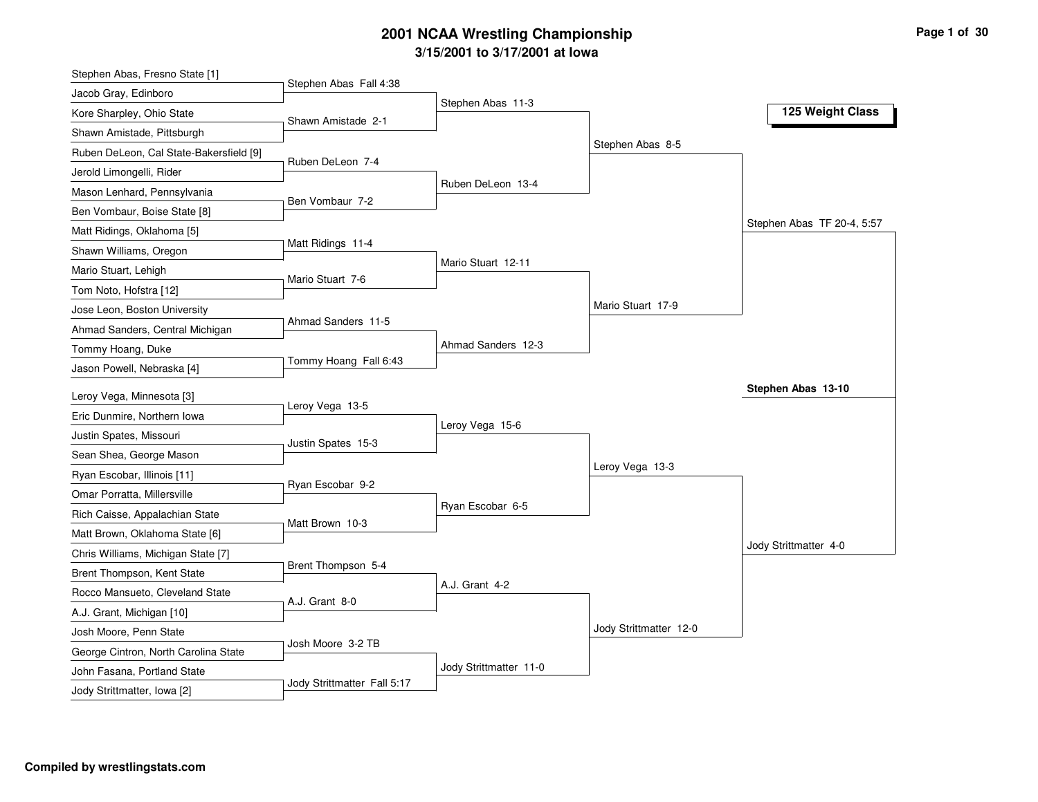# **3/15/2001 to 3/17/2001 at Iowa 2001 NCAA Wrestling Championship Page <sup>1</sup> of <sup>30</sup>**

| Stephen Abas, Fresno State [1]                                       |                             |                        |                        |                            |
|----------------------------------------------------------------------|-----------------------------|------------------------|------------------------|----------------------------|
| Jacob Gray, Edinboro                                                 | Stephen Abas Fall 4:38      |                        |                        |                            |
| Kore Sharpley, Ohio State                                            | Shawn Amistade 2-1          | Stephen Abas 11-3      |                        | 125 Weight Class           |
| Shawn Amistade, Pittsburgh                                           |                             |                        |                        |                            |
| Ruben DeLeon, Cal State-Bakersfield [9]                              |                             |                        | Stephen Abas 8-5       |                            |
| Jerold Limongelli, Rider                                             | Ruben DeLeon 7-4            |                        |                        |                            |
| Mason Lenhard, Pennsylvania                                          |                             | Ruben DeLeon 13-4      |                        |                            |
| Ben Vombaur, Boise State [8]                                         | Ben Vombaur 7-2             |                        |                        |                            |
| Matt Ridings, Oklahoma [5]                                           |                             |                        |                        | Stephen Abas TF 20-4, 5:57 |
| Shawn Williams, Oregon                                               | Matt Ridings 11-4           |                        |                        |                            |
| Mario Stuart, Lehigh                                                 |                             | Mario Stuart 12-11     |                        |                            |
| Tom Noto, Hofstra [12]                                               | Mario Stuart 7-6            |                        |                        |                            |
| Jose Leon, Boston University                                         |                             |                        | Mario Stuart 17-9      |                            |
| Ahmad Sanders, Central Michigan                                      | Ahmad Sanders 11-5          |                        |                        |                            |
| Tommy Hoang, Duke                                                    |                             | Ahmad Sanders 12-3     |                        |                            |
| Jason Powell, Nebraska [4]                                           | Tommy Hoang Fall 6:43       |                        |                        |                            |
| Leroy Vega, Minnesota [3]                                            |                             |                        |                        | Stephen Abas 13-10         |
| Eric Dunmire, Northern Iowa                                          | Leroy Vega 13-5             |                        |                        |                            |
| Justin Spates, Missouri                                              |                             | Leroy Vega 15-6        |                        |                            |
| Sean Shea, George Mason                                              | Justin Spates 15-3          |                        |                        |                            |
|                                                                      |                             |                        | Leroy Vega 13-3        |                            |
| Ryan Escobar, Illinois [11]<br>Omar Porratta, Millersville           | Ryan Escobar 9-2            |                        |                        |                            |
| Rich Caisse, Appalachian State                                       |                             | Ryan Escobar 6-5       |                        |                            |
|                                                                      | Matt Brown 10-3             |                        |                        |                            |
| Matt Brown, Oklahoma State [6]<br>Chris Williams, Michigan State [7] |                             |                        |                        | Jody Strittmatter 4-0      |
|                                                                      | Brent Thompson 5-4          |                        |                        |                            |
| Brent Thompson, Kent State                                           |                             | A.J. Grant 4-2         |                        |                            |
| Rocco Mansueto, Cleveland State                                      | A.J. Grant 8-0              |                        |                        |                            |
| A.J. Grant, Michigan [10]                                            |                             |                        | Jody Strittmatter 12-0 |                            |
| Josh Moore, Penn State                                               | Josh Moore 3-2 TB           |                        |                        |                            |
| George Cintron, North Carolina State                                 |                             | Jody Strittmatter 11-0 |                        |                            |
| John Fasana, Portland State                                          |                             |                        |                        |                            |
| Jody Strittmatter, Iowa [2]                                          | Jody Strittmatter Fall 5:17 |                        |                        |                            |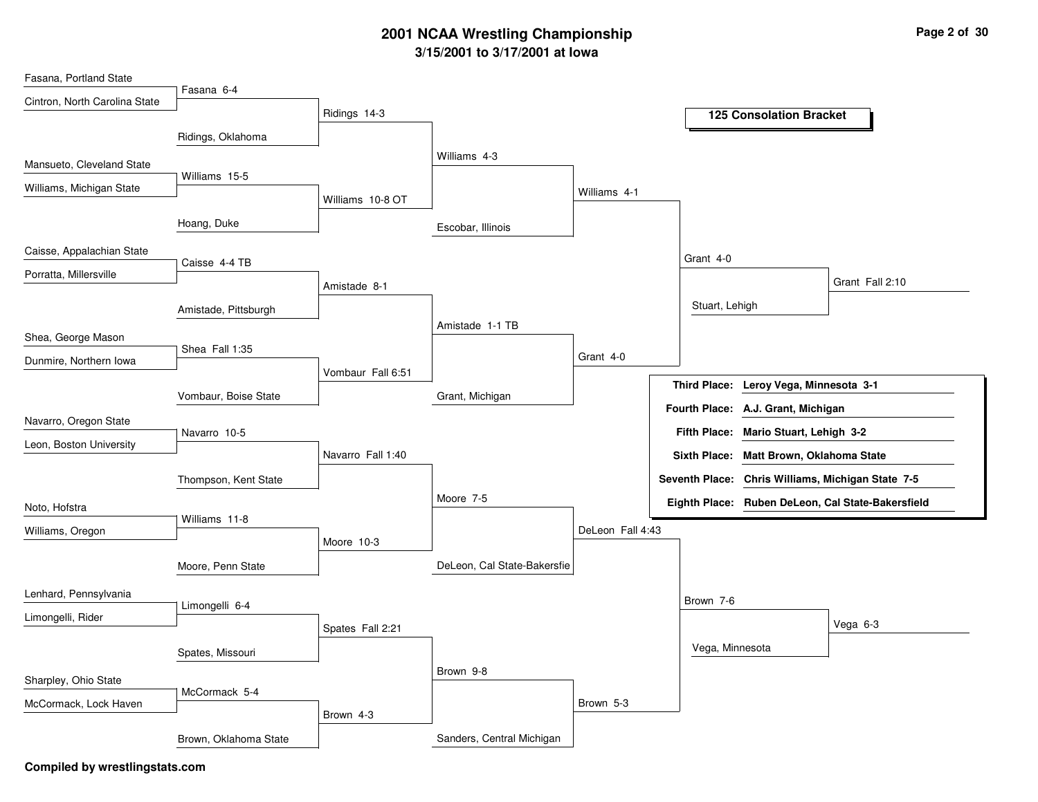## **3/15/2001 to 3/17/2001 at Iowa 2001 NCAA Wrestling Championship Page <sup>2</sup> of <sup>30</sup>**

| Fasana, Portland State        |                       |                   |                             |                  |                 |                                         |                                                   |
|-------------------------------|-----------------------|-------------------|-----------------------------|------------------|-----------------|-----------------------------------------|---------------------------------------------------|
| Cintron, North Carolina State | Fasana 6-4            |                   |                             |                  |                 |                                         |                                                   |
|                               |                       | Ridings 14-3      |                             |                  |                 | <b>125 Consolation Bracket</b>          |                                                   |
|                               | Ridings, Oklahoma     |                   |                             |                  |                 |                                         |                                                   |
| Mansueto, Cleveland State     |                       |                   | Williams 4-3                |                  |                 |                                         |                                                   |
| Williams, Michigan State      | Williams 15-5         |                   |                             |                  |                 |                                         |                                                   |
|                               |                       | Williams 10-8 OT  |                             | Williams 4-1     |                 |                                         |                                                   |
|                               | Hoang, Duke           |                   | Escobar, Illinois           |                  |                 |                                         |                                                   |
| Caisse, Appalachian State     |                       |                   |                             |                  | Grant 4-0       |                                         |                                                   |
| Porratta, Millersville        | Caisse 4-4 TB         |                   |                             |                  |                 |                                         |                                                   |
|                               |                       | Amistade 8-1      |                             |                  |                 |                                         | Grant Fall 2:10                                   |
|                               | Amistade, Pittsburgh  |                   |                             |                  | Stuart, Lehigh  |                                         |                                                   |
| Shea, George Mason            |                       |                   | Amistade 1-1 TB             |                  |                 |                                         |                                                   |
| Dunmire, Northern Iowa        | Shea Fall 1:35        |                   |                             | Grant 4-0        |                 |                                         |                                                   |
|                               |                       | Vombaur Fall 6:51 |                             |                  |                 |                                         |                                                   |
|                               | Vombaur, Boise State  |                   | Grant, Michigan             |                  |                 | Third Place: Leroy Vega, Minnesota 3-1  |                                                   |
| Navarro, Oregon State         |                       |                   |                             |                  |                 | Fourth Place: A.J. Grant, Michigan      |                                                   |
|                               | Navarro 10-5          |                   |                             |                  |                 | Fifth Place: Mario Stuart, Lehigh 3-2   |                                                   |
| Leon, Boston University       |                       | Navarro Fall 1:40 |                             |                  |                 | Sixth Place: Matt Brown, Oklahoma State |                                                   |
|                               | Thompson, Kent State  |                   |                             |                  |                 |                                         | Seventh Place: Chris Williams, Michigan State 7-5 |
|                               |                       |                   | Moore 7-5                   |                  |                 |                                         | Eighth Place: Ruben DeLeon, Cal State-Bakersfield |
| Noto, Hofstra                 | Williams 11-8         |                   |                             |                  |                 |                                         |                                                   |
| Williams, Oregon              |                       | Moore 10-3        |                             | DeLeon Fall 4:43 |                 |                                         |                                                   |
|                               | Moore, Penn State     |                   | DeLeon, Cal State-Bakersfie |                  |                 |                                         |                                                   |
|                               |                       |                   |                             |                  |                 |                                         |                                                   |
| Lenhard, Pennsylvania         | Limongelli 6-4        |                   |                             |                  | Brown 7-6       |                                         |                                                   |
| Limongelli, Rider             |                       | Spates Fall 2:21  |                             |                  |                 |                                         | Vega 6-3                                          |
|                               | Spates, Missouri      |                   |                             |                  | Vega, Minnesota |                                         |                                                   |
|                               |                       |                   | Brown 9-8                   |                  |                 |                                         |                                                   |
| Sharpley, Ohio State          | McCormack 5-4         |                   |                             |                  |                 |                                         |                                                   |
| McCormack, Lock Haven         |                       | Brown 4-3         |                             | Brown 5-3        |                 |                                         |                                                   |
|                               |                       |                   |                             |                  |                 |                                         |                                                   |
|                               | Brown, Oklahoma State |                   | Sanders, Central Michigan   |                  |                 |                                         |                                                   |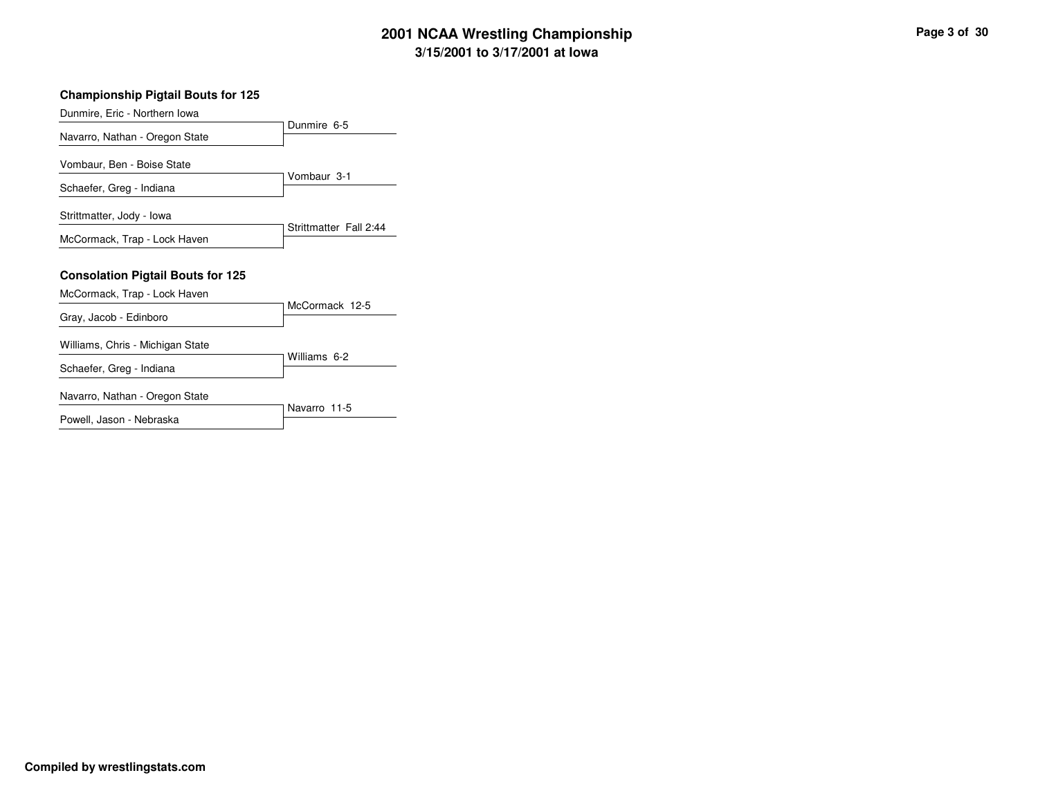# **3/15/2001 to 3/17/2001 at Iowa 2001 NCAA Wrestling Championship Page <sup>3</sup> of <sup>30</sup>**

| Page 3 of 30 |  |  |  |
|--------------|--|--|--|
|--------------|--|--|--|

#### **Championship Pigtail Bouts for 125**

| Dunmire, Eric - Northern Iowa            |                        |
|------------------------------------------|------------------------|
| Navarro, Nathan - Oregon State           | Dunmire 6-5            |
| Vombaur, Ben - Boise State               |                        |
| Schaefer, Greg - Indiana                 | Vombaur 3-1            |
| Strittmatter, Jody - Iowa                |                        |
| McCormack, Trap - Lock Haven             | Strittmatter Fall 2:44 |
| <b>Consolation Pigtail Bouts for 125</b> |                        |
| McCormack, Trap - Lock Haven             | McCormack 12-5         |
| Gray, Jacob - Edinboro                   |                        |
| Williams, Chris - Michigan State         |                        |
| Schaefer, Greg - Indiana                 | Williams 6-2           |
| Navarro, Nathan - Oregon State           |                        |
| Powell, Jason - Nebraska                 | Navarro 11-5           |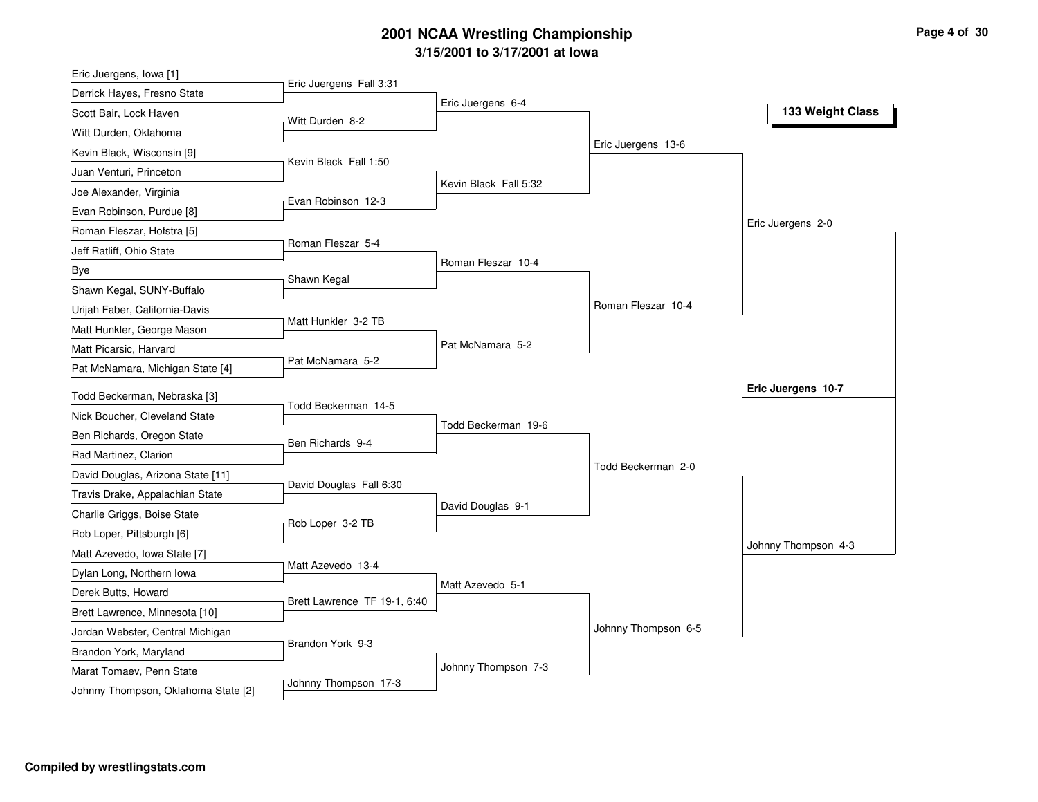# **3/15/2001 to 3/17/2001 at Iowa 2001 NCAA Wrestling Championship Page <sup>4</sup> of <sup>30</sup>**

| Eric Juergens, Iowa [1]                            |                              |                       |                     |                     |
|----------------------------------------------------|------------------------------|-----------------------|---------------------|---------------------|
| Derrick Hayes, Fresno State                        | Eric Juergens Fall 3:31      |                       |                     |                     |
| Scott Bair, Lock Haven                             | Witt Durden 8-2              | Eric Juergens 6-4     |                     | 133 Weight Class    |
| Witt Durden, Oklahoma                              |                              |                       |                     |                     |
| Kevin Black, Wisconsin [9]                         |                              |                       | Eric Juergens 13-6  |                     |
| Juan Venturi, Princeton                            | Kevin Black Fall 1:50        |                       |                     |                     |
| Joe Alexander, Virginia                            |                              | Kevin Black Fall 5:32 |                     |                     |
| Evan Robinson, Purdue [8]                          | Evan Robinson 12-3           |                       |                     |                     |
| Roman Fleszar, Hofstra [5]                         |                              |                       |                     | Eric Juergens 2-0   |
| Jeff Ratliff, Ohio State                           | Roman Fleszar 5-4            |                       |                     |                     |
| Bye                                                |                              | Roman Fleszar 10-4    |                     |                     |
| Shawn Kegal, SUNY-Buffalo                          | Shawn Kegal                  |                       |                     |                     |
| Urijah Faber, California-Davis                     |                              |                       | Roman Fleszar 10-4  |                     |
| Matt Hunkler, George Mason                         | Matt Hunkler 3-2 TB          |                       |                     |                     |
| Matt Picarsic, Harvard                             |                              | Pat McNamara 5-2      |                     |                     |
| Pat McNamara, Michigan State [4]                   | Pat McNamara 5-2             |                       |                     |                     |
| Todd Beckerman, Nebraska [3]                       |                              |                       |                     | Eric Juergens 10-7  |
|                                                    | Todd Beckerman 14-5          |                       |                     |                     |
|                                                    |                              |                       |                     |                     |
| Nick Boucher, Cleveland State                      |                              | Todd Beckerman 19-6   |                     |                     |
| Ben Richards, Oregon State                         | Ben Richards 9-4             |                       |                     |                     |
| Rad Martinez, Clarion                              |                              |                       | Todd Beckerman 2-0  |                     |
| David Douglas, Arizona State [11]                  | David Douglas Fall 6:30      |                       |                     |                     |
| Travis Drake, Appalachian State                    |                              | David Douglas 9-1     |                     |                     |
| Charlie Griggs, Boise State                        | Rob Loper 3-2 TB             |                       |                     |                     |
| Rob Loper, Pittsburgh [6]                          |                              |                       |                     | Johnny Thompson 4-3 |
| Matt Azevedo, Iowa State [7]                       | Matt Azevedo 13-4            |                       |                     |                     |
| Dylan Long, Northern Iowa                          |                              | Matt Azevedo 5-1      |                     |                     |
| Derek Butts, Howard                                | Brett Lawrence TF 19-1, 6:40 |                       |                     |                     |
| Brett Lawrence, Minnesota [10]                     |                              |                       | Johnny Thompson 6-5 |                     |
| Jordan Webster, Central Michigan                   | Brandon York 9-3             |                       |                     |                     |
| Brandon York, Maryland<br>Marat Tomaev, Penn State |                              | Johnny Thompson 7-3   |                     |                     |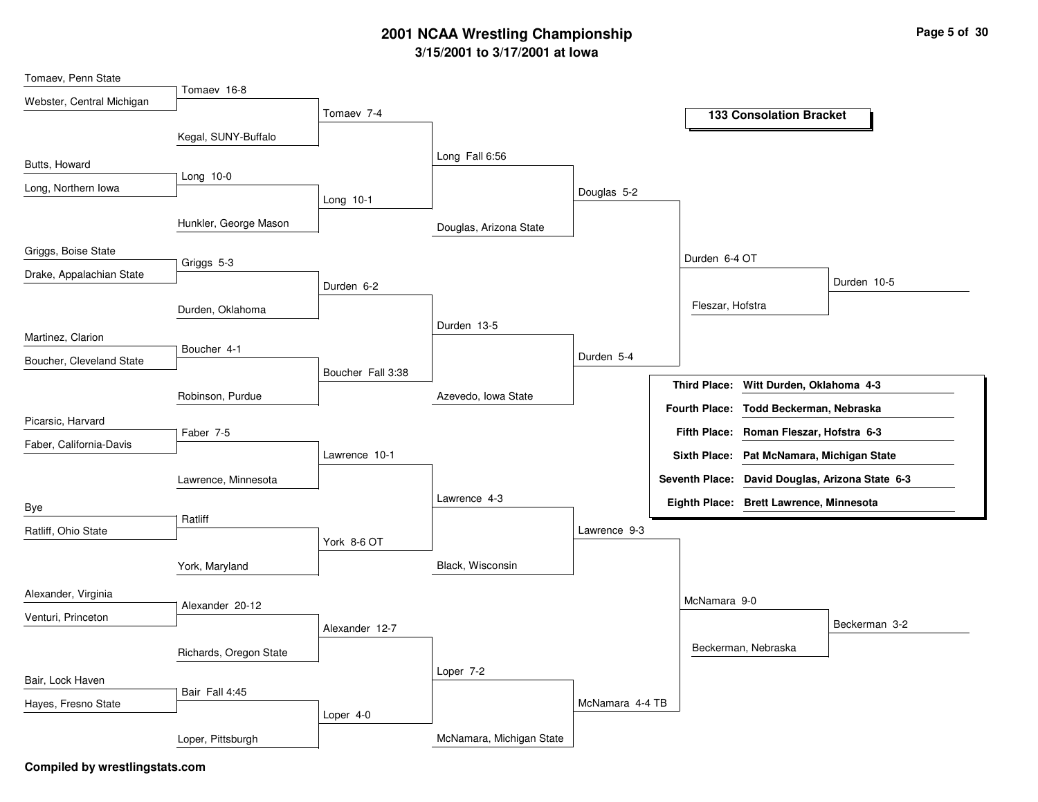## **3/15/2001 to 3/17/2001 at Iowa 2001 NCAA Wrestling Championship Page <sup>5</sup> of <sup>30</sup>**

| Tomaev, Penn State        |                        |                   |                          |                 |                     |                                           |                                                 |
|---------------------------|------------------------|-------------------|--------------------------|-----------------|---------------------|-------------------------------------------|-------------------------------------------------|
| Webster, Central Michigan | Tomaev 16-8            |                   |                          |                 |                     |                                           |                                                 |
|                           |                        | Tomaev 7-4        |                          |                 |                     | <b>133 Consolation Bracket</b>            |                                                 |
|                           | Kegal, SUNY-Buffalo    |                   |                          |                 |                     |                                           |                                                 |
| Butts, Howard             |                        |                   | Long Fall 6:56           |                 |                     |                                           |                                                 |
| Long, Northern Iowa       | Long 10-0              |                   |                          |                 |                     |                                           |                                                 |
|                           |                        | Long 10-1         |                          | Douglas 5-2     |                     |                                           |                                                 |
|                           | Hunkler, George Mason  |                   | Douglas, Arizona State   |                 |                     |                                           |                                                 |
| Griggs, Boise State       | Griggs 5-3             |                   |                          |                 | Durden 6-4 OT       |                                           |                                                 |
| Drake, Appalachian State  |                        |                   |                          |                 |                     |                                           | Durden 10-5                                     |
|                           |                        | Durden 6-2        |                          |                 |                     |                                           |                                                 |
|                           | Durden, Oklahoma       |                   |                          |                 | Fleszar, Hofstra    |                                           |                                                 |
| Martinez, Clarion         |                        |                   | Durden 13-5              |                 |                     |                                           |                                                 |
| Boucher, Cleveland State  | Boucher 4-1            |                   |                          | Durden 5-4      |                     |                                           |                                                 |
|                           |                        | Boucher Fall 3:38 |                          |                 | <b>Third Place:</b> | Witt Durden, Oklahoma 4-3                 |                                                 |
|                           | Robinson, Purdue       |                   | Azevedo, Iowa State      |                 |                     |                                           |                                                 |
| Picarsic, Harvard         |                        |                   |                          |                 |                     | Fourth Place: Todd Beckerman, Nebraska    |                                                 |
| Faber, California-Davis   | Faber 7-5              |                   |                          |                 |                     | Fifth Place: Roman Fleszar, Hofstra 6-3   |                                                 |
|                           |                        | Lawrence 10-1     |                          |                 |                     | Sixth Place: Pat McNamara, Michigan State |                                                 |
|                           | Lawrence, Minnesota    |                   |                          |                 |                     |                                           | Seventh Place: David Douglas, Arizona State 6-3 |
| Bye                       |                        |                   | Lawrence 4-3             |                 |                     | Eighth Place: Brett Lawrence, Minnesota   |                                                 |
|                           | Ratliff                |                   |                          | Lawrence 9-3    |                     |                                           |                                                 |
| Ratliff, Ohio State       |                        | York 8-6 OT       |                          |                 |                     |                                           |                                                 |
|                           | York, Maryland         |                   | Black, Wisconsin         |                 |                     |                                           |                                                 |
| Alexander, Virginia       |                        |                   |                          |                 | McNamara 9-0        |                                           |                                                 |
| Venturi, Princeton        | Alexander 20-12        |                   |                          |                 |                     |                                           | Beckerman 3-2                                   |
|                           |                        | Alexander 12-7    |                          |                 |                     |                                           |                                                 |
|                           | Richards, Oregon State |                   |                          |                 |                     | Beckerman, Nebraska                       |                                                 |
| Bair, Lock Haven          |                        |                   | Loper 7-2                |                 |                     |                                           |                                                 |
| Hayes, Fresno State       | Bair Fall 4:45         |                   |                          | McNamara 4-4 TB |                     |                                           |                                                 |
|                           |                        | Loper 4-0         |                          |                 |                     |                                           |                                                 |
|                           | Loper, Pittsburgh      |                   | McNamara, Michigan State |                 |                     |                                           |                                                 |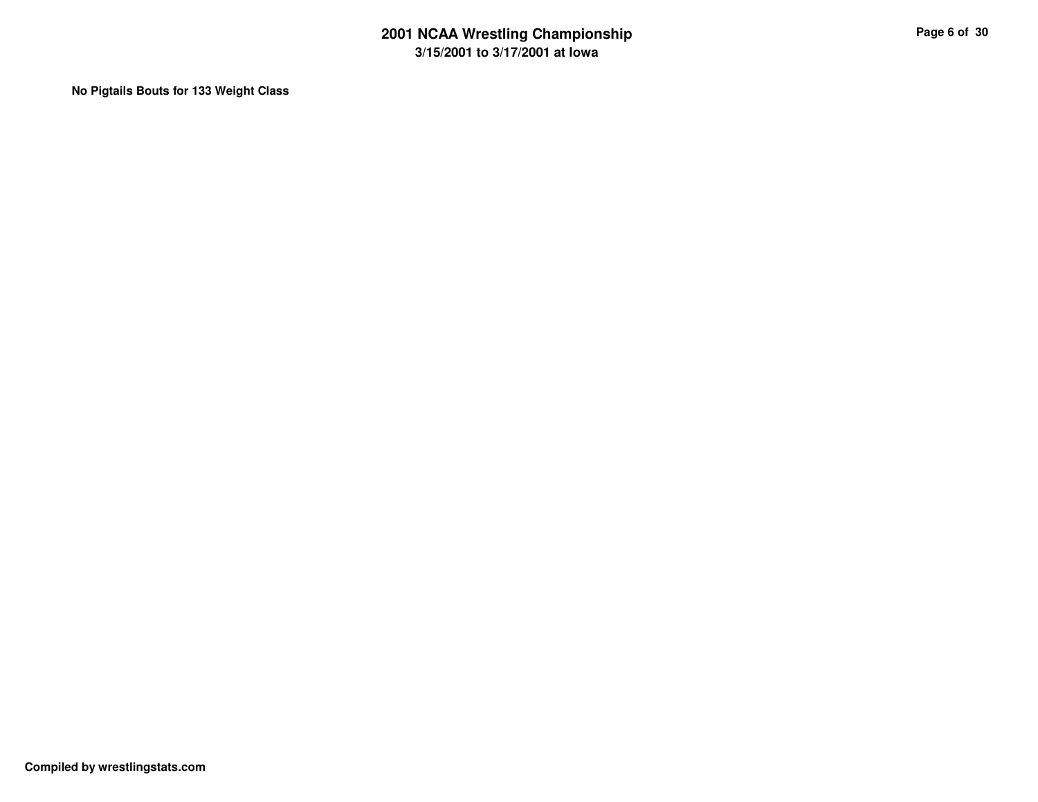**No Pigtails Bouts for 133 Weight Class**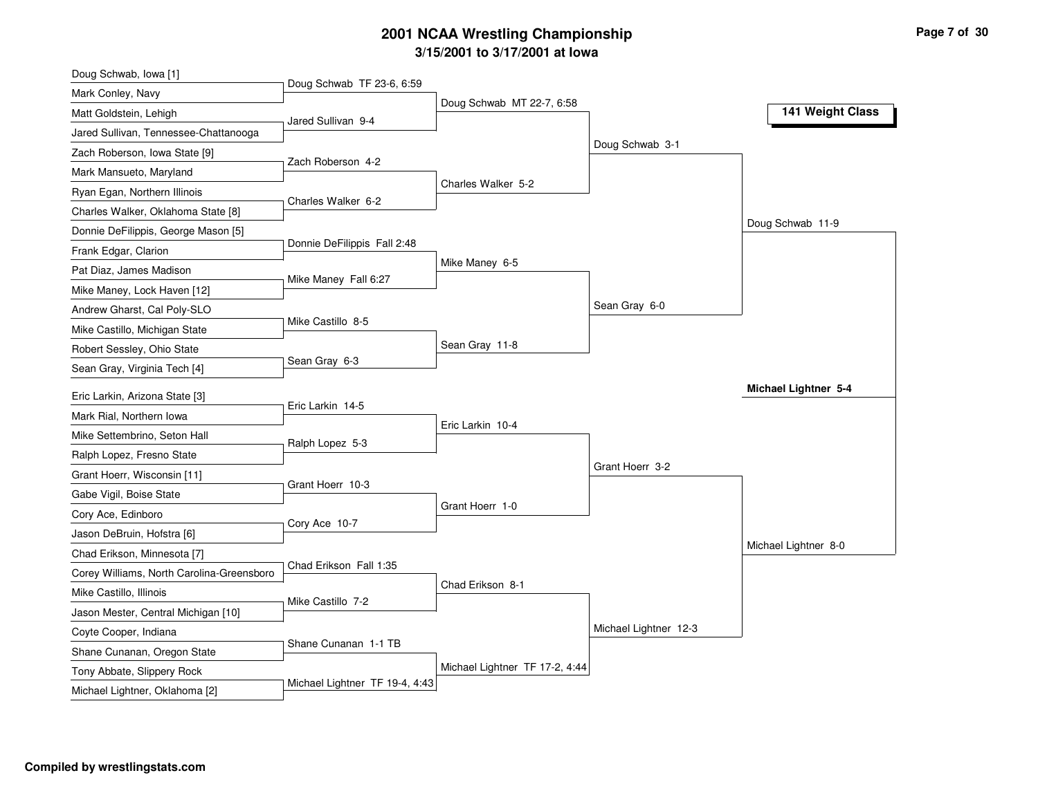# **3/15/2001 to 3/17/2001 at Iowa 2001 NCAA Wrestling Championship Page <sup>7</sup> of <sup>30</sup>**

| Doug Schwab, Iowa [1]                                     |                                |                                |                       |                      |
|-----------------------------------------------------------|--------------------------------|--------------------------------|-----------------------|----------------------|
| Mark Conley, Navy                                         | Doug Schwab TF 23-6, 6:59      |                                |                       |                      |
| Matt Goldstein, Lehigh                                    | Jared Sullivan 9-4             | Doug Schwab MT 22-7, 6:58      |                       | 141 Weight Class     |
| Jared Sullivan, Tennessee-Chattanooga                     |                                |                                |                       |                      |
| Zach Roberson, Iowa State [9]                             |                                |                                | Doug Schwab 3-1       |                      |
| Mark Mansueto, Maryland                                   | Zach Roberson 4-2              |                                |                       |                      |
| Ryan Egan, Northern Illinois                              |                                | Charles Walker 5-2             |                       |                      |
| Charles Walker, Oklahoma State [8]                        | Charles Walker 6-2             |                                |                       |                      |
| Donnie DeFilippis, George Mason [5]                       |                                |                                |                       | Doug Schwab 11-9     |
| Frank Edgar, Clarion                                      | Donnie DeFilippis Fall 2:48    |                                |                       |                      |
| Pat Diaz, James Madison                                   |                                | Mike Maney 6-5                 |                       |                      |
| Mike Maney, Lock Haven [12]                               | Mike Maney Fall 6:27           |                                |                       |                      |
| Andrew Gharst, Cal Poly-SLO                               |                                |                                | Sean Gray 6-0         |                      |
| Mike Castillo, Michigan State                             | Mike Castillo 8-5              |                                |                       |                      |
| Robert Sessley, Ohio State                                |                                | Sean Gray 11-8                 |                       |                      |
| Sean Gray, Virginia Tech [4]                              | Sean Gray 6-3                  |                                |                       |                      |
| Eric Larkin, Arizona State [3]                            |                                |                                |                       | Michael Lightner 5-4 |
| Mark Rial, Northern Iowa                                  | Eric Larkin 14-5               |                                |                       |                      |
| Mike Settembrino, Seton Hall                              |                                | Eric Larkin 10-4               |                       |                      |
| Ralph Lopez, Fresno State                                 | Ralph Lopez 5-3                |                                |                       |                      |
| Grant Hoerr, Wisconsin [11]                               |                                |                                | Grant Hoerr 3-2       |                      |
| Gabe Vigil, Boise State                                   | Grant Hoerr 10-3               |                                |                       |                      |
| Cory Ace, Edinboro                                        |                                | Grant Hoerr 1-0                |                       |                      |
|                                                           | Cory Ace 10-7                  |                                |                       |                      |
| Jason DeBruin, Hofstra [6]<br>Chad Erikson, Minnesota [7] |                                |                                |                       | Michael Lightner 8-0 |
|                                                           | Chad Erikson Fall 1:35         |                                |                       |                      |
| Corey Williams, North Carolina-Greensboro                 |                                | Chad Erikson 8-1               |                       |                      |
| Mike Castillo, Illinois                                   | Mike Castillo 7-2              |                                |                       |                      |
| Jason Mester, Central Michigan [10]                       |                                |                                | Michael Lightner 12-3 |                      |
| Coyte Cooper, Indiana                                     | Shane Cunanan 1-1 TB           |                                |                       |                      |
| Shane Cunanan, Oregon State                               |                                | Michael Lightner TF 17-2, 4:44 |                       |                      |
| Tony Abbate, Slippery Rock                                | Michael Lightner TF 19-4, 4:43 |                                |                       |                      |
| Michael Lightner, Oklahoma [2]                            |                                |                                |                       |                      |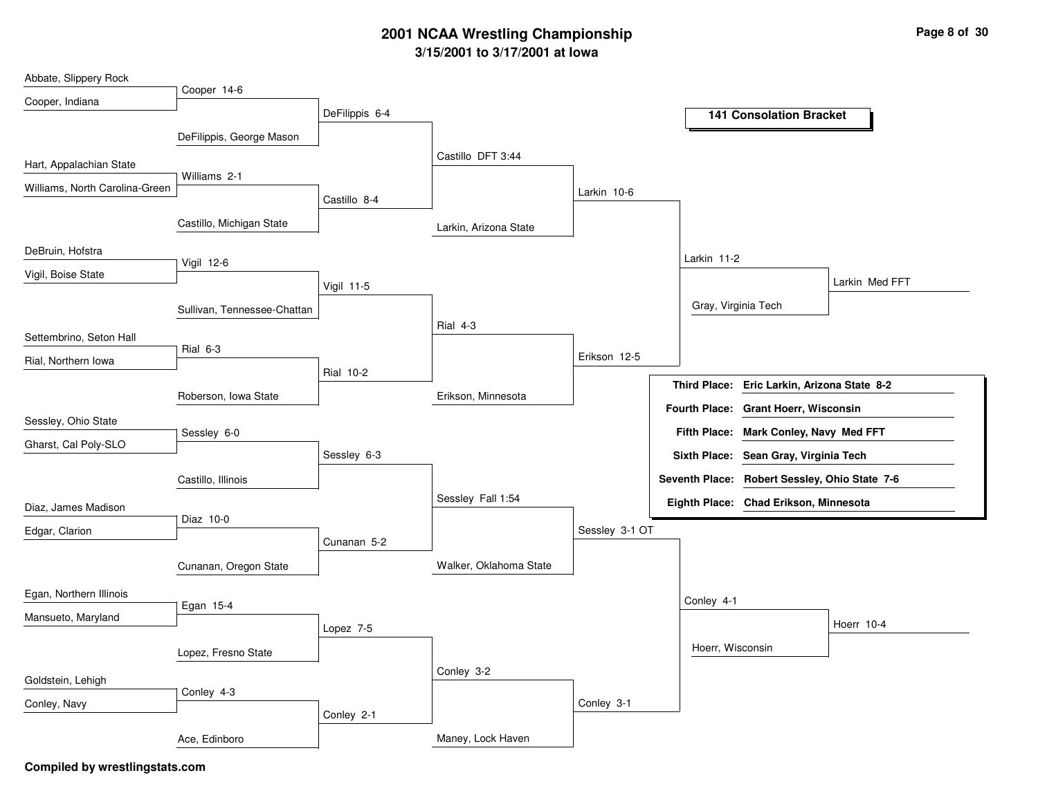## **3/15/2001 to 3/17/2001 at Iowa 2001 NCAA Wrestling Championship Page <sup>8</sup> of <sup>30</sup>**

| Abbate, Slippery Rock          |                             |                  |                        |                |                                               |                |
|--------------------------------|-----------------------------|------------------|------------------------|----------------|-----------------------------------------------|----------------|
| Cooper, Indiana                | Cooper 14-6                 |                  |                        |                |                                               |                |
|                                |                             | DeFilippis 6-4   |                        |                | <b>141 Consolation Bracket</b>                |                |
|                                | DeFilippis, George Mason    |                  |                        |                |                                               |                |
|                                |                             |                  | Castillo DFT 3:44      |                |                                               |                |
| Hart, Appalachian State        |                             |                  |                        |                |                                               |                |
| Williams, North Carolina-Green | Williams 2-1                |                  |                        |                |                                               |                |
|                                |                             | Castillo 8-4     |                        | Larkin 10-6    |                                               |                |
|                                | Castillo, Michigan State    |                  | Larkin, Arizona State  |                |                                               |                |
| DeBruin, Hofstra               |                             |                  |                        |                |                                               |                |
|                                | Vigil 12-6                  |                  |                        |                | Larkin 11-2                                   |                |
| Vigil, Boise State             |                             | Vigil 11-5       |                        |                |                                               | Larkin Med FFT |
|                                |                             |                  |                        |                | Gray, Virginia Tech                           |                |
|                                | Sullivan, Tennessee-Chattan |                  | Rial 4-3               |                |                                               |                |
| Settembrino, Seton Hall        |                             |                  |                        |                |                                               |                |
| Rial, Northern Iowa            | Rial 6-3                    |                  |                        | Erikson 12-5   |                                               |                |
|                                |                             | <b>Rial 10-2</b> |                        |                |                                               |                |
|                                | Roberson, Iowa State        |                  | Erikson, Minnesota     |                | Third Place: Eric Larkin, Arizona State 8-2   |                |
|                                |                             |                  |                        |                | Fourth Place: Grant Hoerr, Wisconsin          |                |
| Sessley, Ohio State            | Sessley 6-0                 |                  |                        |                | Fifth Place: Mark Conley, Navy Med FFT        |                |
| Gharst, Cal Poly-SLO           |                             |                  |                        |                |                                               |                |
|                                |                             | Sessley 6-3      |                        |                | Sixth Place: Sean Gray, Virginia Tech         |                |
|                                | Castillo, Illinois          |                  |                        |                | Seventh Place: Robert Sessley, Ohio State 7-6 |                |
| Diaz, James Madison            |                             |                  | Sessley Fall 1:54      |                | Eighth Place: Chad Erikson, Minnesota         |                |
|                                | Diaz 10-0                   |                  |                        |                |                                               |                |
| Edgar, Clarion                 |                             | Cunanan 5-2      |                        | Sessley 3-1 OT |                                               |                |
|                                |                             |                  |                        |                |                                               |                |
|                                | Cunanan, Oregon State       |                  | Walker, Oklahoma State |                |                                               |                |
| Egan, Northern Illinois        |                             |                  |                        |                |                                               |                |
|                                | Egan 15-4                   |                  |                        |                | Conley 4-1                                    |                |
| Mansueto, Maryland             |                             | Lopez 7-5        |                        |                |                                               | Hoerr 10-4     |
|                                |                             |                  |                        |                | Hoerr, Wisconsin                              |                |
|                                | Lopez, Fresno State         |                  |                        |                |                                               |                |
| Goldstein, Lehigh              |                             |                  | Conley 3-2             |                |                                               |                |
| Conley, Navy                   | Conley 4-3                  |                  |                        | Conley 3-1     |                                               |                |
|                                |                             | Conley 2-1       |                        |                |                                               |                |
|                                | Ace, Edinboro               |                  | Maney, Lock Haven      |                |                                               |                |
|                                |                             |                  |                        |                |                                               |                |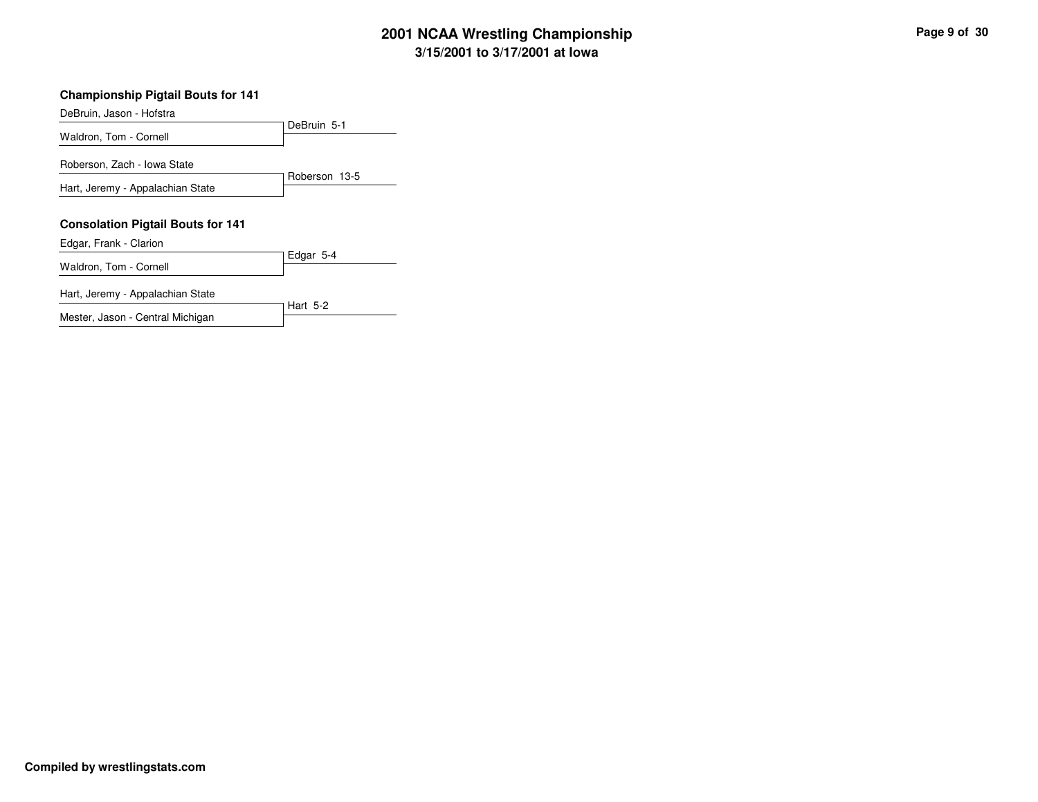# **3/15/2001 to 3/17/2001 at Iowa 2001 NCAA Wrestling Championship Page <sup>9</sup> of <sup>30</sup>**

#### **Championship Pigtail Bouts for 141**

| DeBruin, Jason - Hofstra                 |               |
|------------------------------------------|---------------|
|                                          | DeBruin 5-1   |
| Waldron, Tom - Cornell                   |               |
| Roberson, Zach - Iowa State              |               |
| Hart, Jeremy - Appalachian State         | Roberson 13-5 |
|                                          |               |
| <b>Consolation Pigtail Bouts for 141</b> |               |
| Edgar, Frank - Clarion                   |               |
|                                          | Edgar 5-4     |
| Waldron, Tom - Cornell                   |               |
| Hart, Jeremy - Appalachian State         |               |
|                                          | Hart 5-2      |
| Mester, Jason - Central Michigan         |               |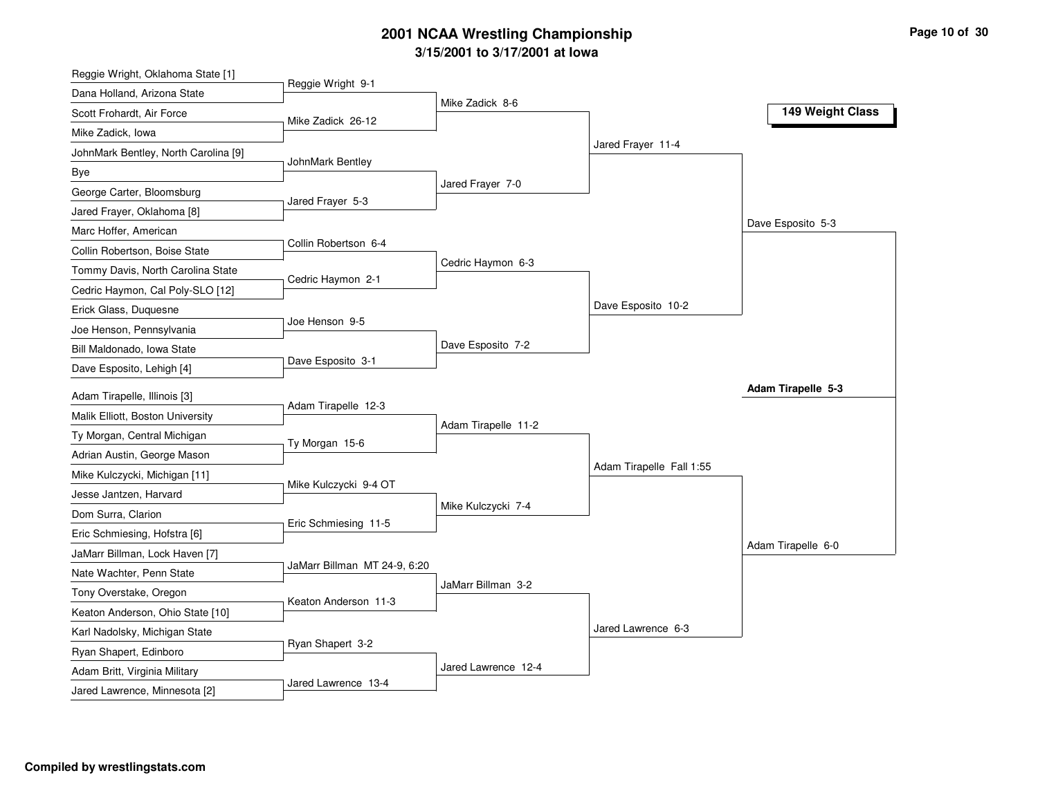# **3/15/2 0 01 to 3/17/2 0 01 at Io w a 2 0 01 N C AA Wre stlin g C h a m pio n s hip**

| Reggie Wright, Oklahoma State [1]                              |                              |                     |                          |                           |
|----------------------------------------------------------------|------------------------------|---------------------|--------------------------|---------------------------|
| Dana Holland, Arizona State                                    | Reggie Wright 9-1            |                     |                          |                           |
| Scott Frohardt, Air Force                                      | Mike Zadick 26-12            | Mike Zadick 8-6     |                          | 149 Weight Class          |
| Mike Zadick, Iowa                                              |                              |                     |                          |                           |
| JohnMark Bentley, North Carolina [9]                           |                              |                     | Jared Frayer 11-4        |                           |
| Bye                                                            | JohnMark Bentley             |                     |                          |                           |
| George Carter, Bloomsburg                                      |                              | Jared Frayer 7-0    |                          |                           |
| Jared Frayer, Oklahoma [8]                                     | Jared Frayer 5-3             |                     |                          |                           |
| Marc Hoffer, American                                          |                              |                     |                          | Dave Esposito 5-3         |
| Collin Robertson, Boise State                                  | Collin Robertson 6-4         |                     |                          |                           |
| Tommy Davis, North Carolina State                              |                              | Cedric Haymon 6-3   |                          |                           |
| Cedric Haymon, Cal Poly-SLO [12]                               | Cedric Haymon 2-1            |                     |                          |                           |
| Erick Glass, Duquesne                                          |                              |                     | Dave Esposito 10-2       |                           |
| Joe Henson, Pennsylvania                                       | Joe Henson 9-5               |                     |                          |                           |
| Bill Maldonado, Iowa State                                     |                              | Dave Esposito 7-2   |                          |                           |
| Dave Esposito, Lehigh [4]                                      | Dave Esposito 3-1            |                     |                          |                           |
| Adam Tirapelle, Illinois [3]                                   |                              |                     |                          | <b>Adam Tirapelle 5-3</b> |
| Malik Elliott, Boston University                               | Adam Tirapelle 12-3          |                     |                          |                           |
| Ty Morgan, Central Michigan                                    |                              | Adam Tirapelle 11-2 |                          |                           |
| Adrian Austin, George Mason                                    | Ty Morgan 15-6               |                     |                          |                           |
| Mike Kulczycki, Michigan [11]                                  |                              |                     | Adam Tirapelle Fall 1:55 |                           |
| Jesse Jantzen, Harvard                                         | Mike Kulczycki 9-4 OT        |                     |                          |                           |
| Dom Surra, Clarion                                             |                              | Mike Kulczycki 7-4  |                          |                           |
| Eric Schmiesing, Hofstra [6]                                   | Eric Schmiesing 11-5         |                     |                          |                           |
| JaMarr Billman, Lock Haven [7]                                 |                              |                     |                          | Adam Tirapelle 6-0        |
| Nate Wachter, Penn State                                       | JaMarr Billman MT 24-9, 6:20 |                     |                          |                           |
|                                                                |                              | JaMarr Billman 3-2  |                          |                           |
| Tony Overstake, Oregon<br>Keaton Anderson, Ohio State [10]     | Keaton Anderson 11-3         |                     |                          |                           |
|                                                                |                              |                     | Jared Lawrence 6-3       |                           |
| Karl Nadolsky, Michigan State                                  | Ryan Shapert 3-2             |                     |                          |                           |
| Ryan Shapert, Edinboro                                         |                              |                     |                          |                           |
|                                                                |                              |                     |                          |                           |
| Adam Britt, Virginia Military<br>Jared Lawrence, Minnesota [2] | Jared Lawrence 13-4          | Jared Lawrence 12-4 |                          |                           |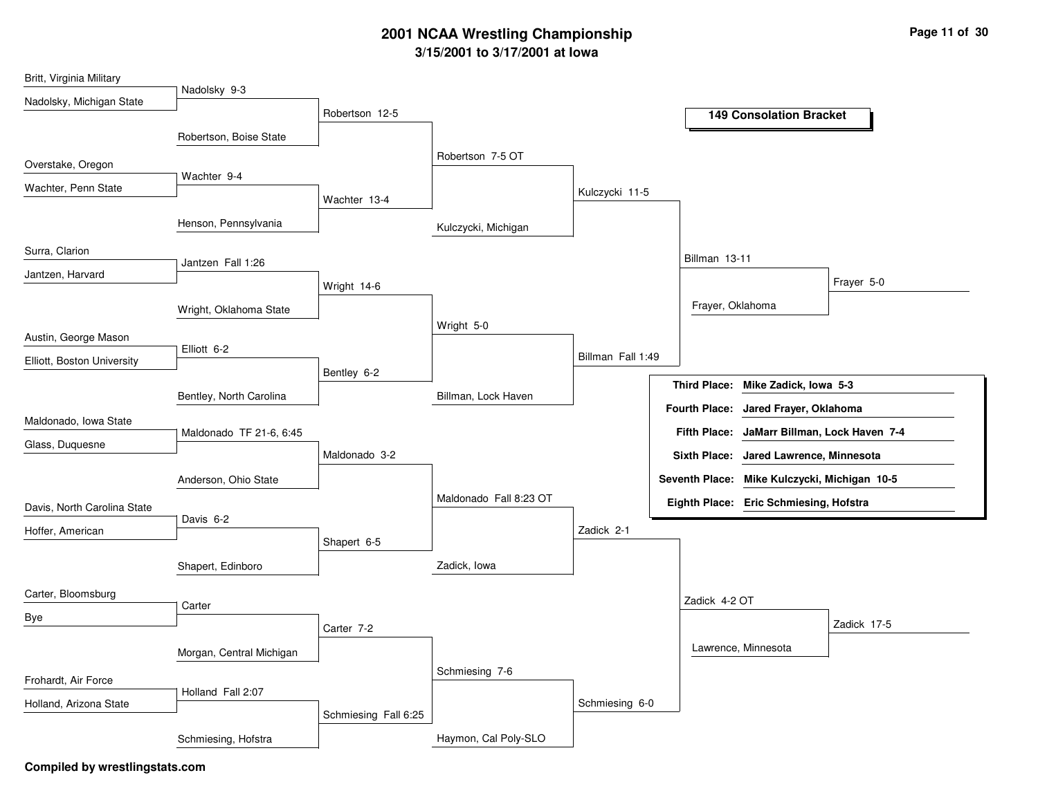# **3/15/2001 to 3/17/2001 at Iowa 2001 NCAA Wrestling Championship Page <sup>11</sup> of <sup>30</sup>**

| Britt, Virginia Military    |                          |                      |                        |                   |                                              |
|-----------------------------|--------------------------|----------------------|------------------------|-------------------|----------------------------------------------|
| Nadolsky, Michigan State    | Nadolsky 9-3             |                      |                        |                   |                                              |
|                             |                          | Robertson 12-5       |                        |                   | <b>149 Consolation Bracket</b>               |
|                             | Robertson, Boise State   |                      |                        |                   |                                              |
| Overstake, Oregon           |                          |                      | Robertson 7-5 OT       |                   |                                              |
| Wachter, Penn State         | Wachter 9-4              |                      |                        |                   |                                              |
|                             |                          | Wachter 13-4         |                        | Kulczycki 11-5    |                                              |
|                             | Henson, Pennsylvania     |                      | Kulczycki, Michigan    |                   |                                              |
| Surra, Clarion              |                          |                      |                        |                   |                                              |
| Jantzen, Harvard            | Jantzen Fall 1:26        |                      |                        |                   | Billman 13-11                                |
|                             |                          | Wright 14-6          |                        |                   | Frayer 5-0                                   |
|                             | Wright, Oklahoma State   |                      |                        |                   | Frayer, Oklahoma                             |
|                             |                          |                      | Wright 5-0             |                   |                                              |
| Austin, George Mason        | Elliott 6-2              |                      |                        | Billman Fall 1:49 |                                              |
| Elliott, Boston University  |                          | Bentley 6-2          |                        |                   |                                              |
|                             | Bentley, North Carolina  |                      | Billman, Lock Haven    |                   | <b>Third Place:</b><br>Mike Zadick, Iowa 5-3 |
|                             |                          |                      |                        |                   | Fourth Place: Jared Frayer, Oklahoma         |
| Maldonado, Iowa State       | Maldonado TF 21-6, 6:45  |                      |                        |                   | Fifth Place: JaMarr Billman, Lock Haven 7-4  |
| Glass, Duquesne             |                          | Maldonado 3-2        |                        |                   | Sixth Place: Jared Lawrence, Minnesota       |
|                             |                          |                      |                        |                   | Seventh Place: Mike Kulczycki, Michigan 10-5 |
|                             | Anderson, Ohio State     |                      | Maldonado Fall 8:23 OT |                   |                                              |
| Davis, North Carolina State | Davis 6-2                |                      |                        |                   | Eighth Place: Eric Schmiesing, Hofstra       |
| Hoffer, American            |                          |                      |                        | Zadick 2-1        |                                              |
|                             |                          | Shapert 6-5          |                        |                   |                                              |
|                             | Shapert, Edinboro        |                      | Zadick, Iowa           |                   |                                              |
| Carter, Bloomsburg          |                          |                      |                        |                   | Zadick 4-2 OT                                |
| Bye                         | Carter                   |                      |                        |                   |                                              |
|                             |                          | Carter 7-2           |                        |                   | Zadick 17-5                                  |
|                             | Morgan, Central Michigan |                      |                        |                   | Lawrence, Minnesota                          |
| Frohardt, Air Force         |                          |                      | Schmiesing 7-6         |                   |                                              |
|                             | Holland Fall 2:07        |                      |                        | Schmiesing 6-0    |                                              |
| Holland, Arizona State      |                          | Schmiesing Fall 6:25 |                        |                   |                                              |
|                             | Schmiesing, Hofstra      |                      | Haymon, Cal Poly-SLO   |                   |                                              |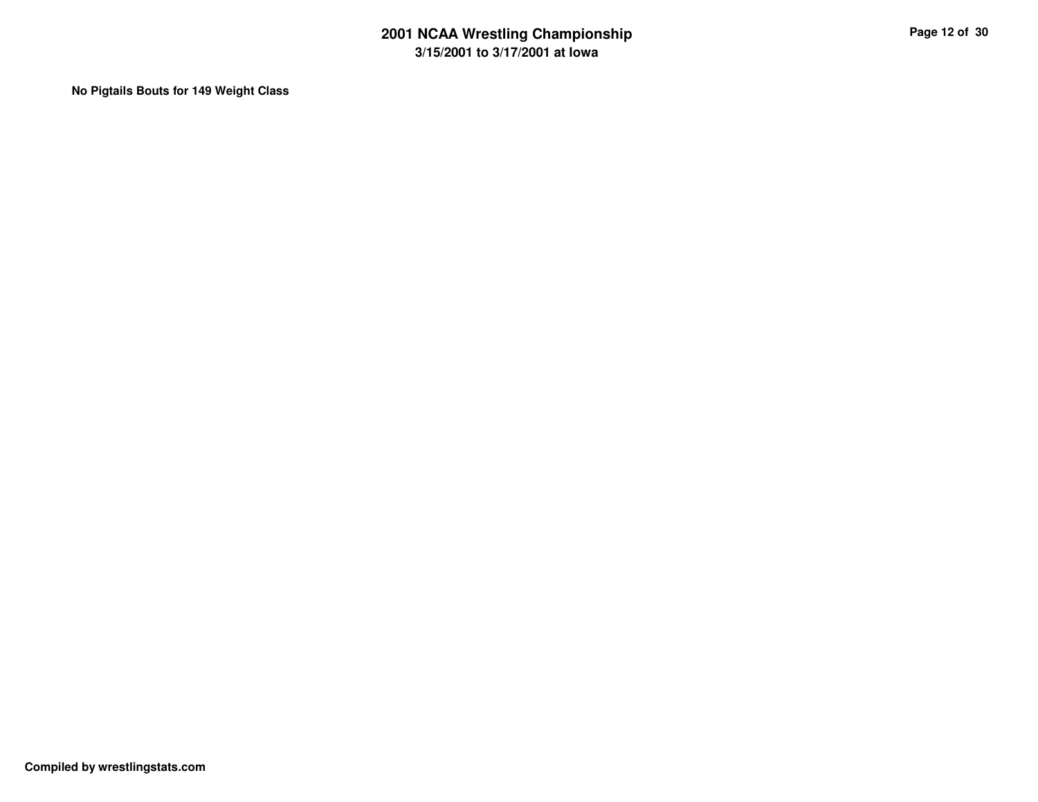**No Pigtails Bouts for 149 Weight Class**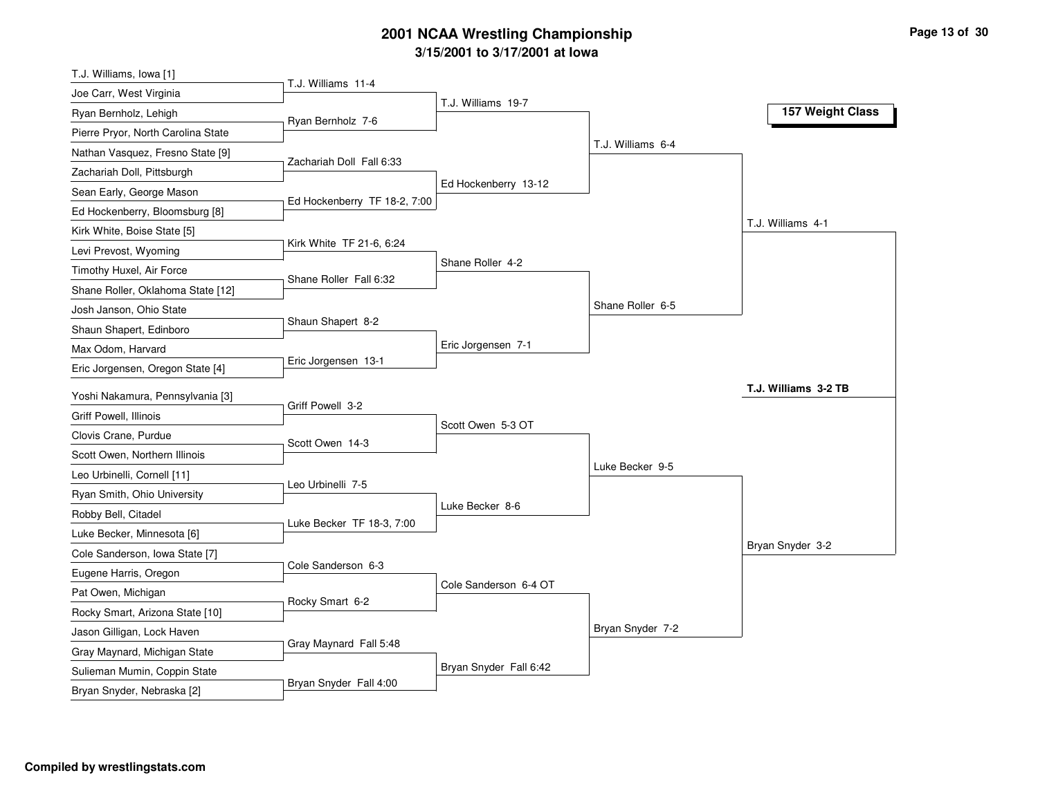# **3/15/2001 to 3/17/2001 at Iowa 2001 NCAA Wrestling Championship Page <sup>13</sup> of <sup>30</sup>**

| T.J. Williams, Iowa [1]                                    |                              |                        |                   |                      |
|------------------------------------------------------------|------------------------------|------------------------|-------------------|----------------------|
| Joe Carr, West Virginia                                    | T.J. Williams 11-4           |                        |                   |                      |
| Ryan Bernholz, Lehigh                                      | Ryan Bernholz 7-6            | T.J. Williams 19-7     |                   | 157 Weight Class     |
| Pierre Pryor, North Carolina State                         |                              |                        |                   |                      |
| Nathan Vasquez, Fresno State [9]                           |                              |                        | T.J. Williams 6-4 |                      |
| Zachariah Doll, Pittsburgh                                 | Zachariah Doll Fall 6:33     |                        |                   |                      |
| Sean Early, George Mason                                   |                              | Ed Hockenberry 13-12   |                   |                      |
| Ed Hockenberry, Bloomsburg [8]                             | Ed Hockenberry TF 18-2, 7:00 |                        |                   |                      |
| Kirk White, Boise State [5]                                |                              |                        |                   | T.J. Williams 4-1    |
| Levi Prevost, Wyoming                                      | Kirk White TF 21-6, 6:24     |                        |                   |                      |
| Timothy Huxel, Air Force                                   |                              | Shane Roller 4-2       |                   |                      |
| Shane Roller, Oklahoma State [12]                          | Shane Roller Fall 6:32       |                        |                   |                      |
| Josh Janson, Ohio State                                    |                              |                        | Shane Roller 6-5  |                      |
| Shaun Shapert, Edinboro                                    | Shaun Shapert 8-2            |                        |                   |                      |
| Max Odom, Harvard                                          |                              | Eric Jorgensen 7-1     |                   |                      |
| Eric Jorgensen, Oregon State [4]                           | Eric Jorgensen 13-1          |                        |                   |                      |
|                                                            |                              |                        |                   |                      |
|                                                            |                              |                        |                   | T.J. Williams 3-2 TB |
| Yoshi Nakamura, Pennsylvania [3]                           | Griff Powell 3-2             |                        |                   |                      |
| Griff Powell, Illinois                                     |                              | Scott Owen 5-3 OT      |                   |                      |
| Clovis Crane, Purdue                                       | Scott Owen 14-3              |                        |                   |                      |
| Scott Owen, Northern Illinois                              |                              |                        | Luke Becker 9-5   |                      |
| Leo Urbinelli, Cornell [11]                                | Leo Urbinelli 7-5            |                        |                   |                      |
| Ryan Smith, Ohio University                                |                              | Luke Becker 8-6        |                   |                      |
| Robby Bell, Citadel                                        | Luke Becker TF 18-3, 7:00    |                        |                   |                      |
| Luke Becker, Minnesota [6]                                 |                              |                        |                   | Bryan Snyder 3-2     |
| Cole Sanderson, Iowa State [7]                             | Cole Sanderson 6-3           |                        |                   |                      |
| Eugene Harris, Oregon                                      |                              | Cole Sanderson 6-4 OT  |                   |                      |
| Pat Owen, Michigan                                         | Rocky Smart 6-2              |                        |                   |                      |
| Rocky Smart, Arizona State [10]                            |                              |                        |                   |                      |
| Jason Gilligan, Lock Haven                                 | Gray Maynard Fall 5:48       |                        | Bryan Snyder 7-2  |                      |
| Gray Maynard, Michigan State                               |                              |                        |                   |                      |
| Sulieman Mumin, Coppin State<br>Bryan Snyder, Nebraska [2] | Bryan Snyder Fall 4:00       | Bryan Snyder Fall 6:42 |                   |                      |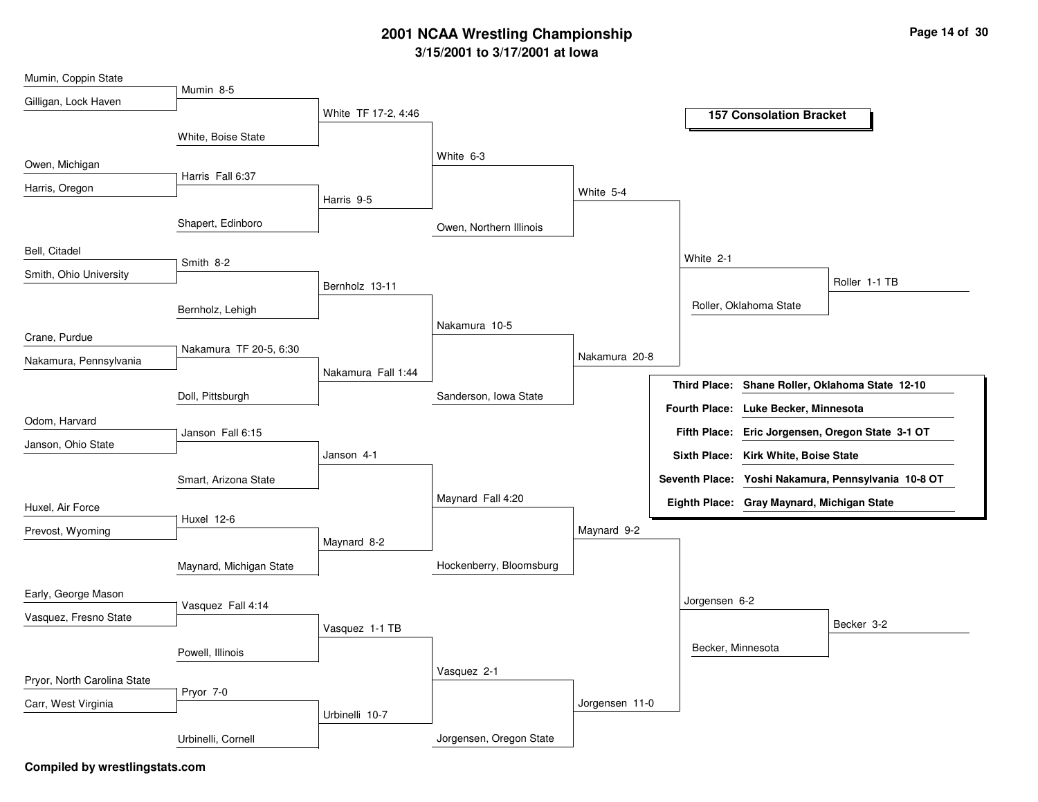### **3/15/2001 to 3/17/2001 at Iowa 2001 NCAA Wrestling Championship Page <sup>14</sup> of <sup>30</sup>**

| Mumin, Coppin State         |                         |                     |                         |                |                   |                                                     |
|-----------------------------|-------------------------|---------------------|-------------------------|----------------|-------------------|-----------------------------------------------------|
| Gilligan, Lock Haven        | Mumin 8-5               |                     |                         |                |                   |                                                     |
|                             |                         | White TF 17-2, 4:46 |                         |                |                   | <b>157 Consolation Bracket</b>                      |
|                             | White, Boise State      |                     |                         |                |                   |                                                     |
|                             |                         |                     | White 6-3               |                |                   |                                                     |
| Owen, Michigan              | Harris Fall 6:37        |                     |                         |                |                   |                                                     |
| Harris, Oregon              |                         |                     |                         | White 5-4      |                   |                                                     |
|                             |                         | Harris 9-5          |                         |                |                   |                                                     |
|                             | Shapert, Edinboro       |                     | Owen, Northern Illinois |                |                   |                                                     |
| Bell, Citadel               |                         |                     |                         |                |                   |                                                     |
|                             | Smith 8-2               |                     |                         |                | White 2-1         |                                                     |
| Smith, Ohio University      |                         | Bernholz 13-11      |                         |                |                   | Roller 1-1 TB                                       |
|                             | Bernholz, Lehigh        |                     |                         |                |                   | Roller, Oklahoma State                              |
|                             |                         |                     | Nakamura 10-5           |                |                   |                                                     |
| Crane, Purdue               |                         |                     |                         |                |                   |                                                     |
| Nakamura, Pennsylvania      | Nakamura TF 20-5, 6:30  |                     |                         | Nakamura 20-8  |                   |                                                     |
|                             |                         | Nakamura Fall 1:44  |                         |                |                   | Third Place: Shane Roller, Oklahoma State 12-10     |
|                             | Doll, Pittsburgh        |                     | Sanderson, Iowa State   |                |                   |                                                     |
| Odom, Harvard               |                         |                     |                         |                |                   | Fourth Place: Luke Becker, Minnesota                |
|                             | Janson Fall 6:15        |                     |                         |                |                   | Fifth Place: Eric Jorgensen, Oregon State 3-1 OT    |
| Janson, Ohio State          |                         | Janson 4-1          |                         |                |                   | Sixth Place: Kirk White, Boise State                |
|                             | Smart, Arizona State    |                     |                         |                |                   | Seventh Place: Yoshi Nakamura, Pennsylvania 10-8 OT |
|                             |                         |                     | Maynard Fall 4:20       |                |                   |                                                     |
| Huxel, Air Force            |                         |                     |                         |                |                   | Eighth Place: Gray Maynard, Michigan State          |
| Prevost, Wyoming            | Huxel 12-6              |                     |                         | Maynard 9-2    |                   |                                                     |
|                             |                         | Maynard 8-2         |                         |                |                   |                                                     |
|                             | Maynard, Michigan State |                     | Hockenberry, Bloomsburg |                |                   |                                                     |
| Early, George Mason         |                         |                     |                         |                |                   |                                                     |
|                             | Vasquez Fall 4:14       |                     |                         |                | Jorgensen 6-2     |                                                     |
| Vasquez, Fresno State       |                         | Vasquez 1-1 TB      |                         |                |                   | Becker 3-2                                          |
|                             |                         |                     |                         |                | Becker, Minnesota |                                                     |
|                             | Powell, Illinois        |                     |                         |                |                   |                                                     |
| Pryor, North Carolina State |                         |                     | Vasquez 2-1             |                |                   |                                                     |
| Carr, West Virginia         | Pryor 7-0               |                     |                         | Jorgensen 11-0 |                   |                                                     |
|                             |                         | Urbinelli 10-7      |                         |                |                   |                                                     |
|                             | Urbinelli, Cornell      |                     | Jorgensen, Oregon State |                |                   |                                                     |
|                             |                         |                     |                         |                |                   |                                                     |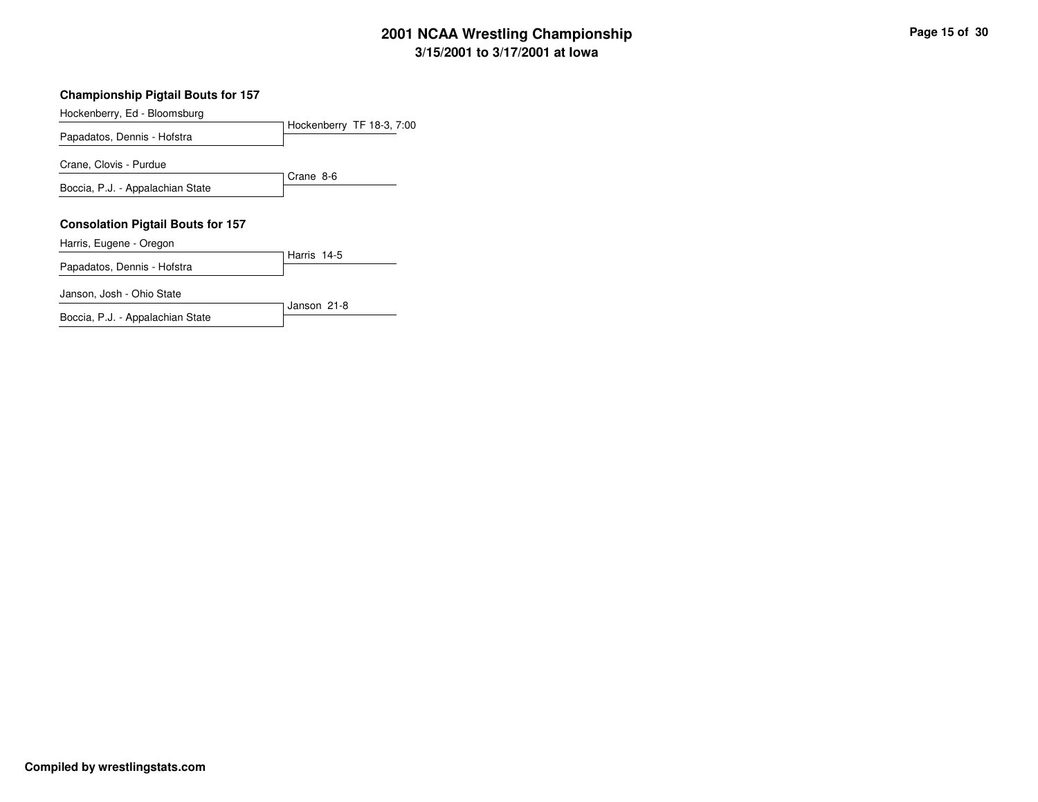## **3/15/2001 to 3/17/2001 at Iowa 2001 NCAA Wrestling Championship Page <sup>15</sup> of <sup>30</sup>**

#### **Championship Pigtail Bouts for 157**

Hockenberry, Ed - Bloomsburg

Hockenberry TF 18-3, 7:00 Papadatos, Dennis - Hofstra Crane 8-6 Crane, Clovis - Purdue Boccia, P.J. - Appalachian State

#### **Consolation Pigtail Bouts for 157**

Harris, Eugene - Oregon

Harris 14-5 Papadatos, Dennis - Hofstra

Janson 21-8

Janson, Josh - Ohio State

Boccia, P.J. - Appalachian State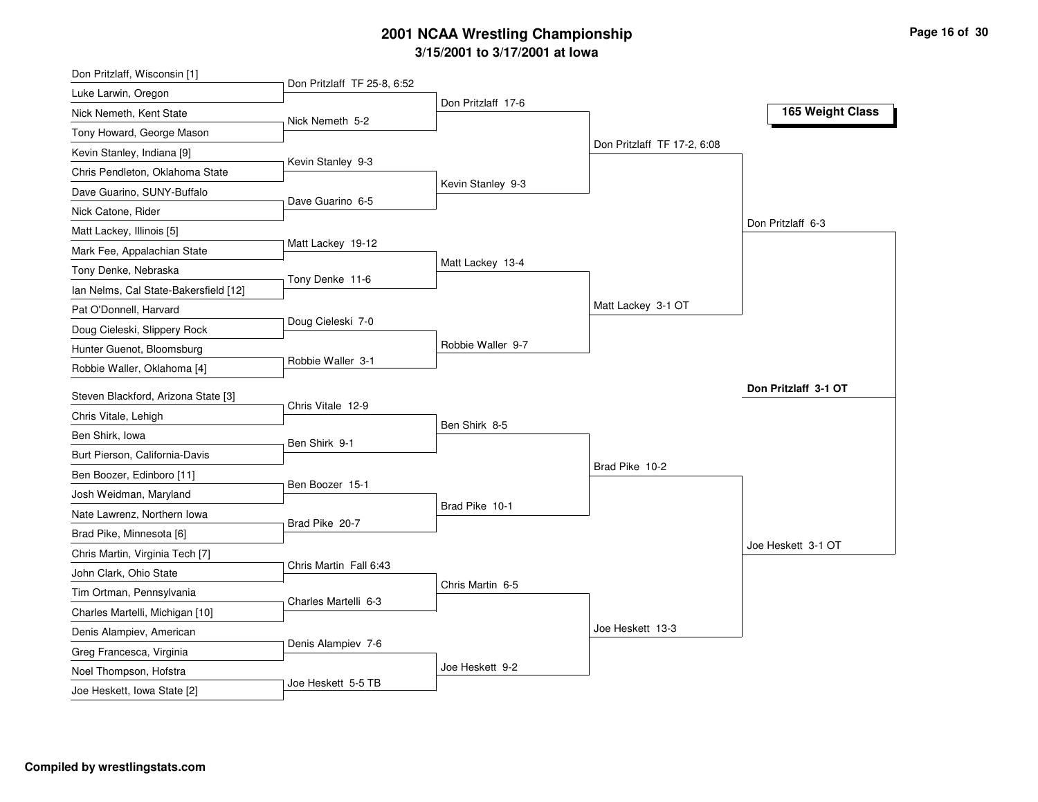# **3/15/2001 to 3/17/2001 at Iowa 2001 NCAA Wrestling Championship Page <sup>16</sup> of <sup>30</sup>**

| Luke Larwin, Oregon<br>Don Pritzlaff 17-6<br>165 Weight Class<br>Nick Nemeth 5-2<br>Don Pritzlaff TF 17-2, 6:08<br>Kevin Stanley 9-3<br>Kevin Stanley 9-3<br>Dave Guarino 6-5<br>Nick Catone, Rider<br>Don Pritzlaff 6-3<br>Matt Lackey 19-12<br>Matt Lackey 13-4<br>Tony Denke 11-6<br>Ian Nelms, Cal State-Bakersfield [12]<br>Matt Lackey 3-1 OT<br>Doug Cieleski 7-0<br>Robbie Waller 9-7<br>Robbie Waller 3-1<br>Don Pritzlaff 3-1 OT<br>Steven Blackford, Arizona State [3]<br>Chris Vitale 12-9<br>Chris Vitale, Lehigh<br>Ben Shirk 8-5<br>Ben Shirk, Iowa<br>Ben Shirk 9-1<br>Burt Pierson, California-Davis<br>Brad Pike 10-2<br>Ben Boozer, Edinboro [11]<br>Ben Boozer 15-1<br>Josh Weidman, Maryland<br>Brad Pike 10-1<br>Nate Lawrenz, Northern Iowa<br>Brad Pike 20-7<br>Brad Pike, Minnesota [6]<br>Joe Heskett 3-1 OT<br>Chris Martin, Virginia Tech [7]<br>Chris Martin Fall 6:43<br>John Clark, Ohio State<br>Chris Martin 6-5 | Don Pritzlaff, Wisconsin [1]    |                             |  |  |
|---------------------------------------------------------------------------------------------------------------------------------------------------------------------------------------------------------------------------------------------------------------------------------------------------------------------------------------------------------------------------------------------------------------------------------------------------------------------------------------------------------------------------------------------------------------------------------------------------------------------------------------------------------------------------------------------------------------------------------------------------------------------------------------------------------------------------------------------------------------------------------------------------------------------------------------------------|---------------------------------|-----------------------------|--|--|
|                                                                                                                                                                                                                                                                                                                                                                                                                                                                                                                                                                                                                                                                                                                                                                                                                                                                                                                                                   |                                 | Don Pritzlaff TF 25-8, 6:52 |  |  |
|                                                                                                                                                                                                                                                                                                                                                                                                                                                                                                                                                                                                                                                                                                                                                                                                                                                                                                                                                   | Nick Nemeth, Kent State         |                             |  |  |
|                                                                                                                                                                                                                                                                                                                                                                                                                                                                                                                                                                                                                                                                                                                                                                                                                                                                                                                                                   | Tony Howard, George Mason       |                             |  |  |
|                                                                                                                                                                                                                                                                                                                                                                                                                                                                                                                                                                                                                                                                                                                                                                                                                                                                                                                                                   | Kevin Stanley, Indiana [9]      |                             |  |  |
|                                                                                                                                                                                                                                                                                                                                                                                                                                                                                                                                                                                                                                                                                                                                                                                                                                                                                                                                                   | Chris Pendleton, Oklahoma State |                             |  |  |
|                                                                                                                                                                                                                                                                                                                                                                                                                                                                                                                                                                                                                                                                                                                                                                                                                                                                                                                                                   | Dave Guarino, SUNY-Buffalo      |                             |  |  |
|                                                                                                                                                                                                                                                                                                                                                                                                                                                                                                                                                                                                                                                                                                                                                                                                                                                                                                                                                   |                                 |                             |  |  |
|                                                                                                                                                                                                                                                                                                                                                                                                                                                                                                                                                                                                                                                                                                                                                                                                                                                                                                                                                   | Matt Lackey, Illinois [5]       |                             |  |  |
|                                                                                                                                                                                                                                                                                                                                                                                                                                                                                                                                                                                                                                                                                                                                                                                                                                                                                                                                                   | Mark Fee, Appalachian State     |                             |  |  |
|                                                                                                                                                                                                                                                                                                                                                                                                                                                                                                                                                                                                                                                                                                                                                                                                                                                                                                                                                   | Tony Denke, Nebraska            |                             |  |  |
|                                                                                                                                                                                                                                                                                                                                                                                                                                                                                                                                                                                                                                                                                                                                                                                                                                                                                                                                                   |                                 |                             |  |  |
|                                                                                                                                                                                                                                                                                                                                                                                                                                                                                                                                                                                                                                                                                                                                                                                                                                                                                                                                                   | Pat O'Donnell, Harvard          |                             |  |  |
|                                                                                                                                                                                                                                                                                                                                                                                                                                                                                                                                                                                                                                                                                                                                                                                                                                                                                                                                                   | Doug Cieleski, Slippery Rock    |                             |  |  |
|                                                                                                                                                                                                                                                                                                                                                                                                                                                                                                                                                                                                                                                                                                                                                                                                                                                                                                                                                   | Hunter Guenot, Bloomsburg       |                             |  |  |
|                                                                                                                                                                                                                                                                                                                                                                                                                                                                                                                                                                                                                                                                                                                                                                                                                                                                                                                                                   | Robbie Waller, Oklahoma [4]     |                             |  |  |
|                                                                                                                                                                                                                                                                                                                                                                                                                                                                                                                                                                                                                                                                                                                                                                                                                                                                                                                                                   |                                 |                             |  |  |
|                                                                                                                                                                                                                                                                                                                                                                                                                                                                                                                                                                                                                                                                                                                                                                                                                                                                                                                                                   |                                 |                             |  |  |
|                                                                                                                                                                                                                                                                                                                                                                                                                                                                                                                                                                                                                                                                                                                                                                                                                                                                                                                                                   |                                 |                             |  |  |
|                                                                                                                                                                                                                                                                                                                                                                                                                                                                                                                                                                                                                                                                                                                                                                                                                                                                                                                                                   |                                 |                             |  |  |
|                                                                                                                                                                                                                                                                                                                                                                                                                                                                                                                                                                                                                                                                                                                                                                                                                                                                                                                                                   |                                 |                             |  |  |
|                                                                                                                                                                                                                                                                                                                                                                                                                                                                                                                                                                                                                                                                                                                                                                                                                                                                                                                                                   |                                 |                             |  |  |
|                                                                                                                                                                                                                                                                                                                                                                                                                                                                                                                                                                                                                                                                                                                                                                                                                                                                                                                                                   |                                 |                             |  |  |
|                                                                                                                                                                                                                                                                                                                                                                                                                                                                                                                                                                                                                                                                                                                                                                                                                                                                                                                                                   |                                 |                             |  |  |
|                                                                                                                                                                                                                                                                                                                                                                                                                                                                                                                                                                                                                                                                                                                                                                                                                                                                                                                                                   |                                 |                             |  |  |
|                                                                                                                                                                                                                                                                                                                                                                                                                                                                                                                                                                                                                                                                                                                                                                                                                                                                                                                                                   |                                 |                             |  |  |
|                                                                                                                                                                                                                                                                                                                                                                                                                                                                                                                                                                                                                                                                                                                                                                                                                                                                                                                                                   | Tim Ortman, Pennsylvania        |                             |  |  |
| Charles Martelli 6-3                                                                                                                                                                                                                                                                                                                                                                                                                                                                                                                                                                                                                                                                                                                                                                                                                                                                                                                              | Charles Martelli, Michigan [10] |                             |  |  |
| Joe Heskett 13-3                                                                                                                                                                                                                                                                                                                                                                                                                                                                                                                                                                                                                                                                                                                                                                                                                                                                                                                                  | Denis Alampiev, American        |                             |  |  |
| Denis Alampiev 7-6                                                                                                                                                                                                                                                                                                                                                                                                                                                                                                                                                                                                                                                                                                                                                                                                                                                                                                                                | Greg Francesca, Virginia        |                             |  |  |
| Joe Heskett 9-2                                                                                                                                                                                                                                                                                                                                                                                                                                                                                                                                                                                                                                                                                                                                                                                                                                                                                                                                   | Noel Thompson, Hofstra          |                             |  |  |
| Joe Heskett 5-5 TB                                                                                                                                                                                                                                                                                                                                                                                                                                                                                                                                                                                                                                                                                                                                                                                                                                                                                                                                | Joe Heskett, Iowa State [2]     |                             |  |  |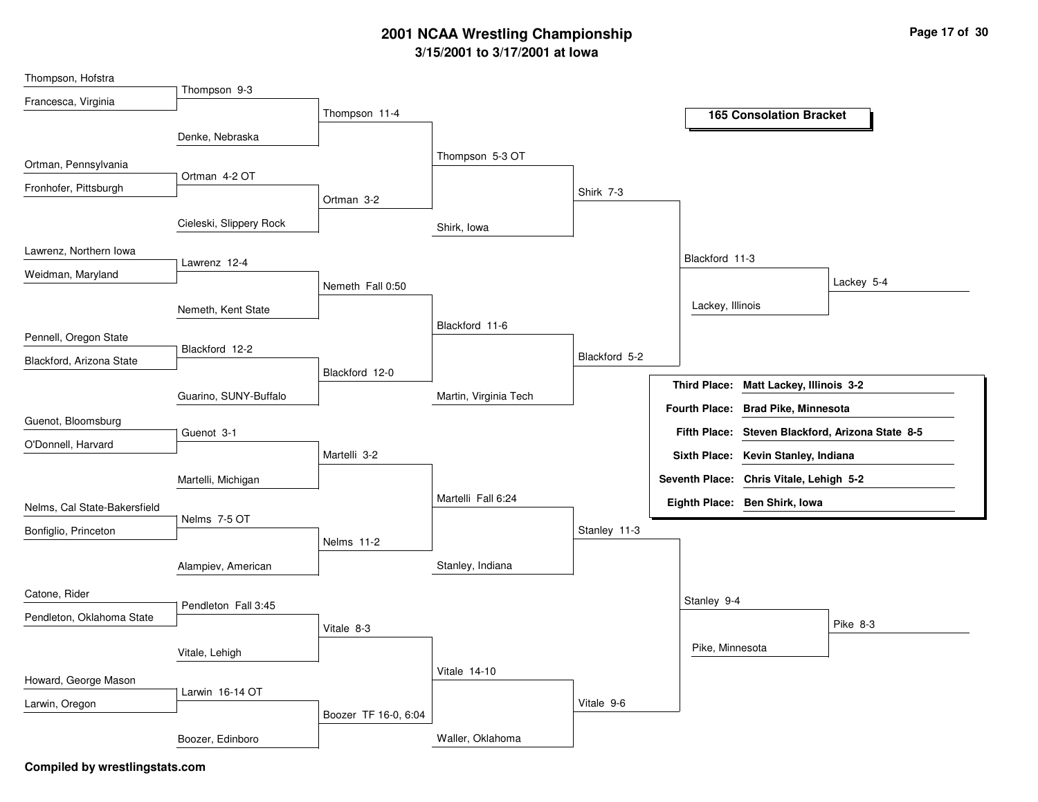## **3/15/2001 to 3/17/2001 at Iowa 2001 NCAA Wrestling Championship Page <sup>17</sup> of <sup>30</sup>**

| Thompson, Hofstra            |                         |                      |                       |               |                  |                                         |                                                  |
|------------------------------|-------------------------|----------------------|-----------------------|---------------|------------------|-----------------------------------------|--------------------------------------------------|
| Francesca, Virginia          | Thompson 9-3            |                      |                       |               |                  |                                         |                                                  |
|                              |                         | Thompson 11-4        |                       |               |                  | <b>165 Consolation Bracket</b>          |                                                  |
|                              | Denke, Nebraska         |                      |                       |               |                  |                                         |                                                  |
|                              |                         |                      | Thompson 5-3 OT       |               |                  |                                         |                                                  |
| Ortman, Pennsylvania         | Ortman 4-2 OT           |                      |                       |               |                  |                                         |                                                  |
| Fronhofer, Pittsburgh        |                         |                      |                       | Shirk 7-3     |                  |                                         |                                                  |
|                              |                         | Ortman 3-2           |                       |               |                  |                                         |                                                  |
|                              | Cieleski, Slippery Rock |                      | Shirk, Iowa           |               |                  |                                         |                                                  |
| Lawrenz, Northern Iowa       |                         |                      |                       |               |                  |                                         |                                                  |
|                              | Lawrenz 12-4            |                      |                       |               | Blackford 11-3   |                                         |                                                  |
| Weidman, Maryland            |                         | Nemeth Fall 0:50     |                       |               |                  |                                         | Lackey 5-4                                       |
|                              | Nemeth, Kent State      |                      |                       |               | Lackey, Illinois |                                         |                                                  |
|                              |                         |                      | Blackford 11-6        |               |                  |                                         |                                                  |
| Pennell, Oregon State        | Blackford 12-2          |                      |                       |               |                  |                                         |                                                  |
| Blackford, Arizona State     |                         |                      |                       | Blackford 5-2 |                  |                                         |                                                  |
|                              |                         | Blackford 12-0       |                       |               |                  | Third Place: Matt Lackey, Illinois 3-2  |                                                  |
|                              | Guarino, SUNY-Buffalo   |                      | Martin, Virginia Tech |               |                  |                                         |                                                  |
| Guenot, Bloomsburg           |                         |                      |                       |               |                  | Fourth Place: Brad Pike, Minnesota      |                                                  |
| O'Donnell, Harvard           | Guenot 3-1              |                      |                       |               |                  |                                         | Fifth Place: Steven Blackford, Arizona State 8-5 |
|                              |                         | Martelli 3-2         |                       |               |                  | Sixth Place: Kevin Stanley, Indiana     |                                                  |
|                              | Martelli, Michigan      |                      |                       |               |                  | Seventh Place: Chris Vitale, Lehigh 5-2 |                                                  |
|                              |                         |                      | Martelli Fall 6:24    |               |                  |                                         |                                                  |
| Nelms, Cal State-Bakersfield | Nelms 7-5 OT            |                      |                       |               |                  | Eighth Place: Ben Shirk, Iowa           |                                                  |
| Bonfiglio, Princeton         |                         |                      |                       | Stanley 11-3  |                  |                                         |                                                  |
|                              |                         | Nelms 11-2           |                       |               |                  |                                         |                                                  |
|                              | Alampiev, American      |                      | Stanley, Indiana      |               |                  |                                         |                                                  |
| Catone, Rider                |                         |                      |                       |               |                  |                                         |                                                  |
|                              | Pendleton Fall 3:45     |                      |                       |               | Stanley 9-4      |                                         |                                                  |
| Pendleton, Oklahoma State    |                         | Vitale 8-3           |                       |               |                  |                                         | Pike 8-3                                         |
|                              |                         |                      |                       |               |                  | Pike, Minnesota                         |                                                  |
|                              | Vitale, Lehigh          |                      |                       |               |                  |                                         |                                                  |
| Howard, George Mason         |                         |                      | <b>Vitale 14-10</b>   |               |                  |                                         |                                                  |
| Larwin, Oregon               | Larwin 16-14 OT         |                      |                       | Vitale 9-6    |                  |                                         |                                                  |
|                              |                         | Boozer TF 16-0, 6:04 |                       |               |                  |                                         |                                                  |
|                              | Boozer, Edinboro        |                      | Waller, Oklahoma      |               |                  |                                         |                                                  |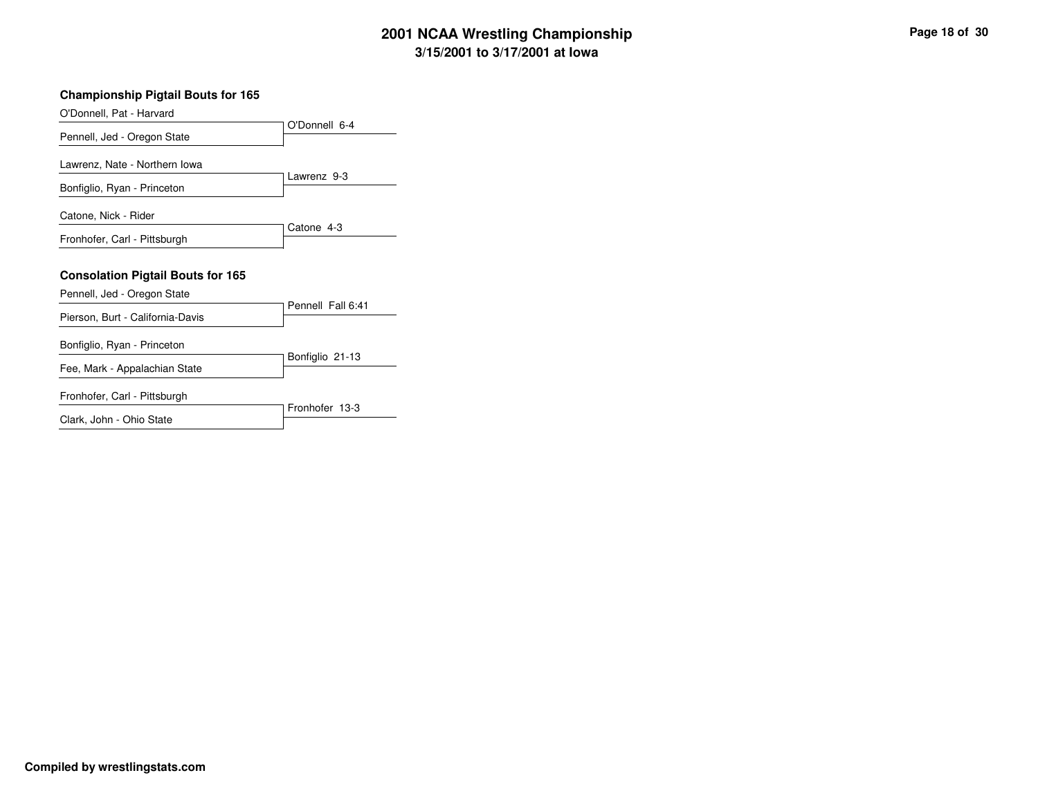# **3/15/2001 to 3/17/2001 at Iowa 2001 NCAA Wrestling Championship Page <sup>18</sup> of <sup>30</sup>**

| Page 18 of 30 |  |
|---------------|--|
|---------------|--|

| <b>Championship Pigtail Bouts for 165</b> |                   |
|-------------------------------------------|-------------------|
| O'Donnell, Pat - Harvard                  |                   |
| Pennell, Jed - Oregon State               | O'Donnell 6-4     |
| Lawrenz, Nate - Northern Iowa             |                   |
| Bonfiglio, Ryan - Princeton               | Lawrenz 9-3       |
| Catone, Nick - Rider                      |                   |
| Fronhofer, Carl - Pittsburgh              | Catone 4-3        |
| <b>Consolation Pigtail Bouts for 165</b>  |                   |
| Pennell, Jed - Oregon State               |                   |
| Pierson, Burt - California-Davis          | Pennell Fall 6:41 |
| Bonfiglio, Ryan - Princeton               |                   |
| Fee, Mark - Appalachian State             | Bonfiglio 21-13   |
| Fronhofer, Carl - Pittsburgh              |                   |
| Clark, John - Ohio State                  | Fronhofer 13-3    |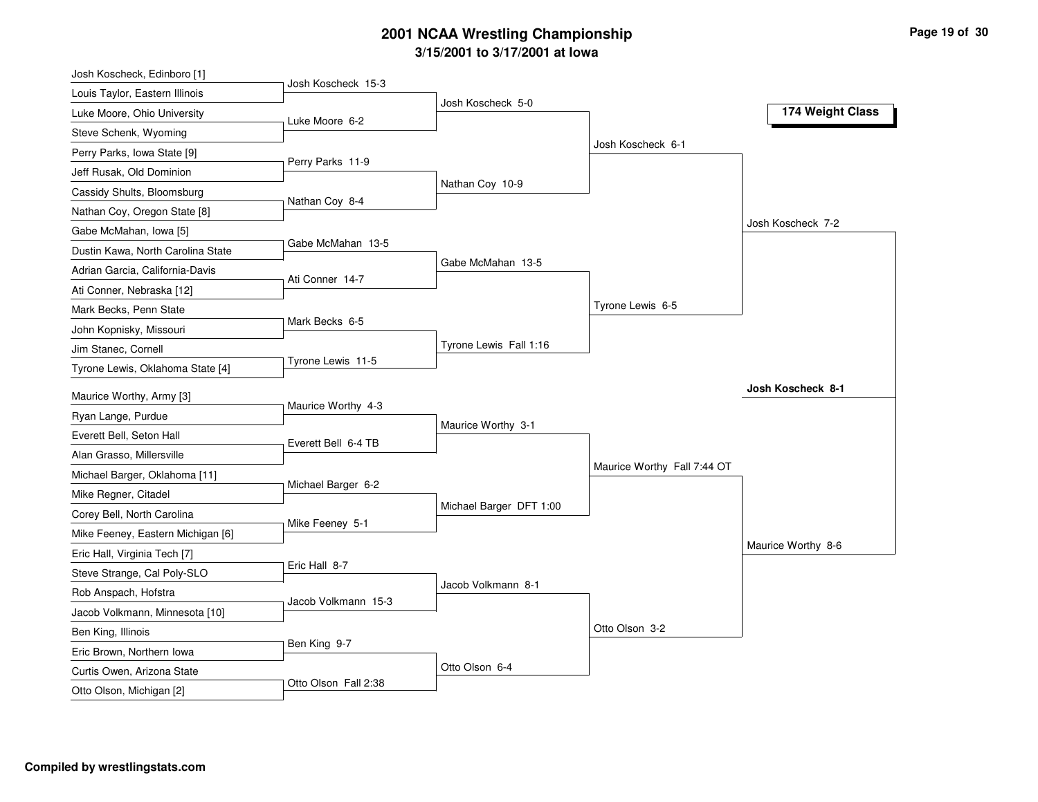# **3/15/2001 to 3/17/2001 at Iowa 2001 NCAA Wrestling Championship Page <sup>19</sup> of <sup>30</sup>**

| Josh Koscheck, Edinboro [1]       | Josh Koscheck 15-3   |                         |                             |                          |
|-----------------------------------|----------------------|-------------------------|-----------------------------|--------------------------|
| Louis Taylor, Eastern Illinois    |                      | Josh Koscheck 5-0       |                             |                          |
| Luke Moore, Ohio University       | Luke Moore 6-2       |                         |                             | 174 Weight Class         |
| Steve Schenk, Wyoming             |                      |                         | Josh Koscheck 6-1           |                          |
| Perry Parks, Iowa State [9]       | Perry Parks 11-9     |                         |                             |                          |
| Jeff Rusak, Old Dominion          |                      |                         |                             |                          |
| Cassidy Shults, Bloomsburg        | Nathan Coy 8-4       | Nathan Coy 10-9         |                             |                          |
| Nathan Coy, Oregon State [8]      |                      |                         |                             |                          |
| Gabe McMahan, Iowa [5]            |                      |                         |                             | Josh Koscheck 7-2        |
| Dustin Kawa, North Carolina State | Gabe McMahan 13-5    |                         |                             |                          |
| Adrian Garcia, California-Davis   |                      | Gabe McMahan 13-5       |                             |                          |
| Ati Conner, Nebraska [12]         | Ati Conner 14-7      |                         |                             |                          |
| Mark Becks, Penn State            |                      |                         | Tyrone Lewis 6-5            |                          |
| John Kopnisky, Missouri           | Mark Becks 6-5       |                         |                             |                          |
| Jim Stanec, Cornell               |                      | Tyrone Lewis Fall 1:16  |                             |                          |
| Tyrone Lewis, Oklahoma State [4]  | Tyrone Lewis 11-5    |                         |                             |                          |
|                                   |                      |                         |                             | <b>Josh Koscheck 8-1</b> |
| Maurice Worthy, Army [3]          | Maurice Worthy 4-3   |                         |                             |                          |
| Ryan Lange, Purdue                |                      | Maurice Worthy 3-1      |                             |                          |
| Everett Bell, Seton Hall          | Everett Bell 6-4 TB  |                         |                             |                          |
| Alan Grasso, Millersville         |                      |                         | Maurice Worthy Fall 7:44 OT |                          |
| Michael Barger, Oklahoma [11]     | Michael Barger 6-2   |                         |                             |                          |
| Mike Regner, Citadel              |                      | Michael Barger DFT 1:00 |                             |                          |
| Corey Bell, North Carolina        | Mike Feeney 5-1      |                         |                             |                          |
| Mike Feeney, Eastern Michigan [6] |                      |                         |                             | Maurice Worthy 8-6       |
| Eric Hall, Virginia Tech [7]      | Eric Hall 8-7        |                         |                             |                          |
| Steve Strange, Cal Poly-SLO       |                      | Jacob Volkmann 8-1      |                             |                          |
| Rob Anspach, Hofstra              | Jacob Volkmann 15-3  |                         |                             |                          |
| Jacob Volkmann, Minnesota [10]    |                      |                         |                             |                          |
| Ben King, Illinois                |                      |                         | Otto Olson 3-2              |                          |
| Eric Brown, Northern Iowa         | Ben King 9-7         |                         |                             |                          |
| Curtis Owen, Arizona State        |                      | Otto Olson 6-4          |                             |                          |
| Otto Olson, Michigan [2]          | Otto Olson Fall 2:38 |                         |                             |                          |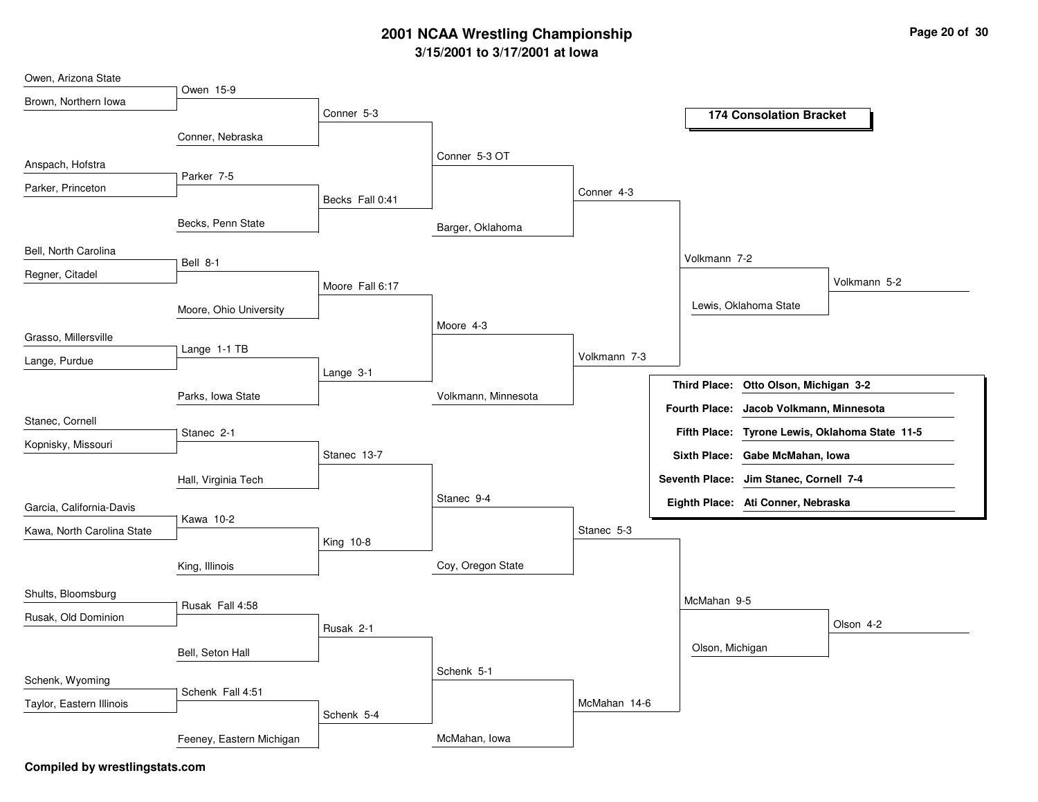### **3/15/2001 to 3/17/2001 at Iowa 2001 NCAA Wrestling Championship Page <sup>20</sup> of <sup>30</sup>**

| Owen, Arizona State        |                          |                 |                     |              |                                                |
|----------------------------|--------------------------|-----------------|---------------------|--------------|------------------------------------------------|
| Brown, Northern Iowa       | Owen 15-9                |                 |                     |              |                                                |
|                            |                          | Conner 5-3      |                     |              | <b>174 Consolation Bracket</b>                 |
|                            | Conner, Nebraska         |                 |                     |              |                                                |
| Anspach, Hofstra           |                          |                 | Conner 5-3 OT       |              |                                                |
| Parker, Princeton          | Parker 7-5               |                 |                     | Conner 4-3   |                                                |
|                            |                          | Becks Fall 0:41 |                     |              |                                                |
|                            | Becks, Penn State        |                 | Barger, Oklahoma    |              |                                                |
| Bell, North Carolina       |                          |                 |                     |              | Volkmann 7-2                                   |
| Regner, Citadel            | Bell 8-1                 |                 |                     |              |                                                |
|                            |                          | Moore Fall 6:17 |                     |              | Volkmann 5-2                                   |
|                            | Moore, Ohio University   |                 |                     |              | Lewis, Oklahoma State                          |
| Grasso, Millersville       |                          |                 | Moore 4-3           |              |                                                |
| Lange, Purdue              | Lange 1-1 TB             |                 |                     | Volkmann 7-3 |                                                |
|                            |                          | Lange 3-1       |                     |              |                                                |
|                            | Parks, Iowa State        |                 | Volkmann, Minnesota |              | Third Place: Otto Olson, Michigan 3-2          |
| Stanec, Cornell            |                          |                 |                     |              | Fourth Place: Jacob Volkmann, Minnesota        |
| Kopnisky, Missouri         | Stanec 2-1               |                 |                     |              | Fifth Place: Tyrone Lewis, Oklahoma State 11-5 |
|                            |                          | Stanec 13-7     |                     |              | Sixth Place: Gabe McMahan, Iowa                |
|                            | Hall, Virginia Tech      |                 |                     |              | Seventh Place: Jim Stanec, Cornell 7-4         |
| Garcia, California-Davis   |                          |                 | Stanec 9-4          |              | Eighth Place: Ati Conner, Nebraska             |
| Kawa, North Carolina State | Kawa 10-2                |                 |                     | Stanec 5-3   |                                                |
|                            |                          | King 10-8       |                     |              |                                                |
|                            | King, Illinois           |                 | Coy, Oregon State   |              |                                                |
| Shults, Bloomsburg         |                          |                 |                     |              |                                                |
|                            | Rusak Fall 4:58          |                 |                     |              | McMahan 9-5                                    |
| Rusak, Old Dominion        |                          | Rusak 2-1       |                     |              | Olson 4-2                                      |
|                            | Bell, Seton Hall         |                 |                     |              | Olson, Michigan                                |
| Schenk, Wyoming            |                          |                 | Schenk 5-1          |              |                                                |
|                            | Schenk Fall 4:51         |                 |                     |              |                                                |
| Taylor, Eastern Illinois   |                          | Schenk 5-4      |                     | McMahan 14-6 |                                                |
|                            | Feeney, Eastern Michigan |                 | McMahan, Iowa       |              |                                                |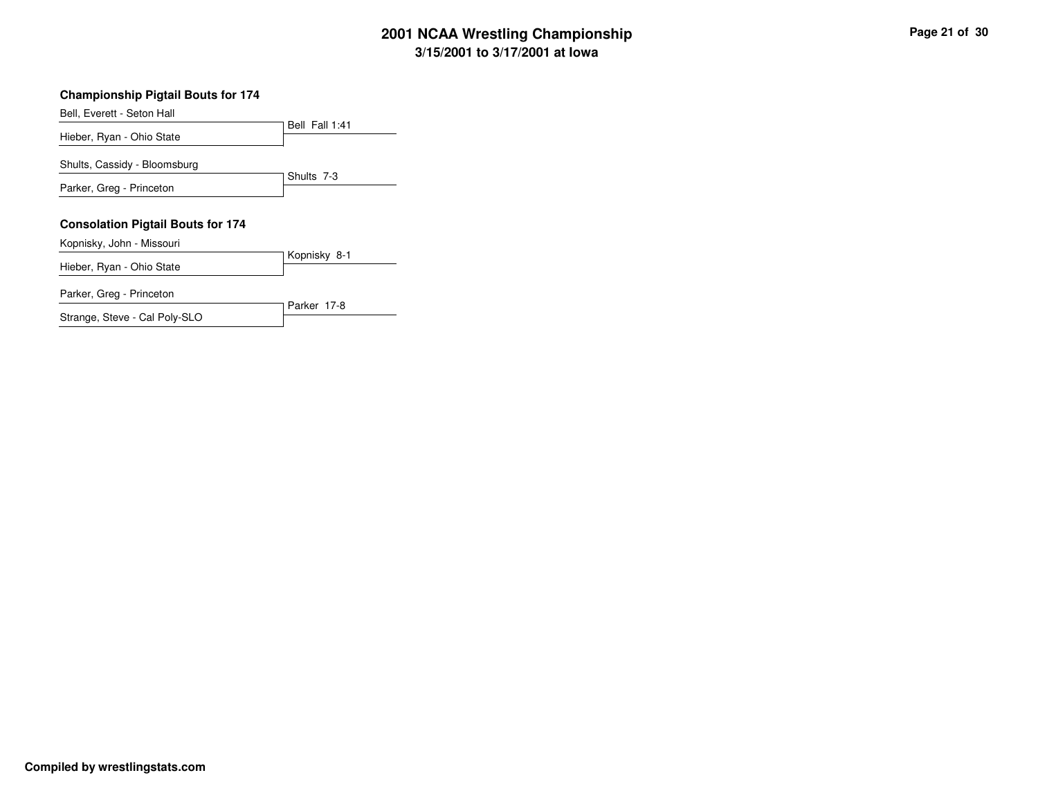# **3/15/2001 to 3/17/2001 at Iowa 2001 NCAA Wrestling Championship Page <sup>21</sup> of <sup>30</sup>**

#### **Championship Pigtail Bouts for 174**

Bell, Everett - Seton Hall

Hieber, Ryan - Ohio State

Shults, Cassidy - Bloomsburg

Parker, Greg - Princeton

#### **Consolation Pigtail Bouts for 174**

Kopnisky, John - Missouri

Kopnisky 8-1 Hieber, Ryan - Ohio State

Bell Fall 1:41

Shults 7-3

Parker 17-8

Parker, Greg - Princeton

Strange, Steve - Cal Poly-SLO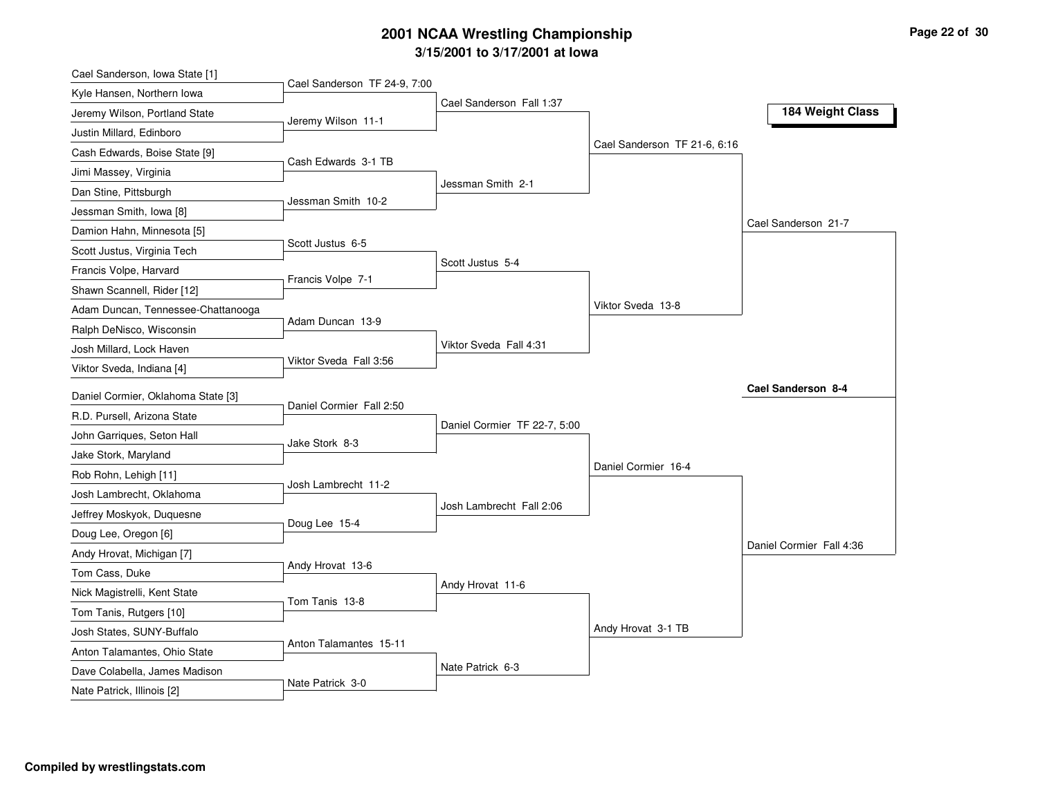# **3/15/2001 to 3/17/2001 at Iowa 2001 NCAA Wrestling Championship Page <sup>22</sup> of <sup>30</sup>**

| Cael Sanderson, Iowa State [1]     |                              |                              |                              |                          |
|------------------------------------|------------------------------|------------------------------|------------------------------|--------------------------|
| Kyle Hansen, Northern Iowa         | Cael Sanderson TF 24-9, 7:00 |                              |                              |                          |
| Jeremy Wilson, Portland State      | Jeremy Wilson 11-1           | Cael Sanderson Fall 1:37     |                              | 184 Weight Class         |
| Justin Millard, Edinboro           |                              |                              |                              |                          |
| Cash Edwards, Boise State [9]      |                              |                              | Cael Sanderson TF 21-6, 6:16 |                          |
| Jimi Massey, Virginia              | Cash Edwards 3-1 TB          |                              |                              |                          |
| Dan Stine, Pittsburgh              |                              | Jessman Smith 2-1            |                              |                          |
| Jessman Smith, Iowa [8]            | Jessman Smith 10-2           |                              |                              |                          |
| Damion Hahn, Minnesota [5]         |                              |                              |                              | Cael Sanderson 21-7      |
| Scott Justus, Virginia Tech        | Scott Justus 6-5             |                              |                              |                          |
| Francis Volpe, Harvard             |                              | Scott Justus 5-4             |                              |                          |
| Shawn Scannell, Rider [12]         | Francis Volpe 7-1            |                              |                              |                          |
| Adam Duncan, Tennessee-Chattanooga |                              |                              | Viktor Sveda 13-8            |                          |
| Ralph DeNisco, Wisconsin           | Adam Duncan 13-9             |                              |                              |                          |
| Josh Millard, Lock Haven           |                              | Viktor Sveda Fall 4:31       |                              |                          |
| Viktor Sveda, Indiana [4]          | Viktor Sveda Fall 3:56       |                              |                              |                          |
| Daniel Cormier, Oklahoma State [3] |                              |                              |                              | Cael Sanderson 8-4       |
| R.D. Pursell. Arizona State        | Daniel Cormier Fall 2:50     |                              |                              |                          |
| John Garriques, Seton Hall         |                              | Daniel Cormier TF 22-7, 5:00 |                              |                          |
| Jake Stork, Maryland               | Jake Stork 8-3               |                              |                              |                          |
| Rob Rohn, Lehigh [11]              |                              |                              | Daniel Cormier 16-4          |                          |
|                                    | Josh Lambrecht 11-2          |                              |                              |                          |
| Josh Lambrecht, Oklahoma           |                              | Josh Lambrecht Fall 2:06     |                              |                          |
| Jeffrey Moskyok, Duquesne          | Doug Lee 15-4                |                              |                              |                          |
| Doug Lee, Oregon [6]               |                              |                              |                              | Daniel Cormier Fall 4:36 |
| Andy Hrovat, Michigan [7]          | Andy Hrovat 13-6             |                              |                              |                          |
| Tom Cass, Duke                     |                              | Andy Hrovat 11-6             |                              |                          |
| Nick Magistrelli, Kent State       | Tom Tanis 13-8               |                              |                              |                          |
| Tom Tanis, Rutgers [10]            |                              |                              | Andy Hrovat 3-1 TB           |                          |
| Josh States, SUNY-Buffalo          | Anton Talamantes 15-11       |                              |                              |                          |
| Anton Talamantes, Ohio State       |                              | Nate Patrick 6-3             |                              |                          |
| Dave Colabella, James Madison      | Nate Patrick 3-0             |                              |                              |                          |
| Nate Patrick, Illinois [2]         |                              |                              |                              |                          |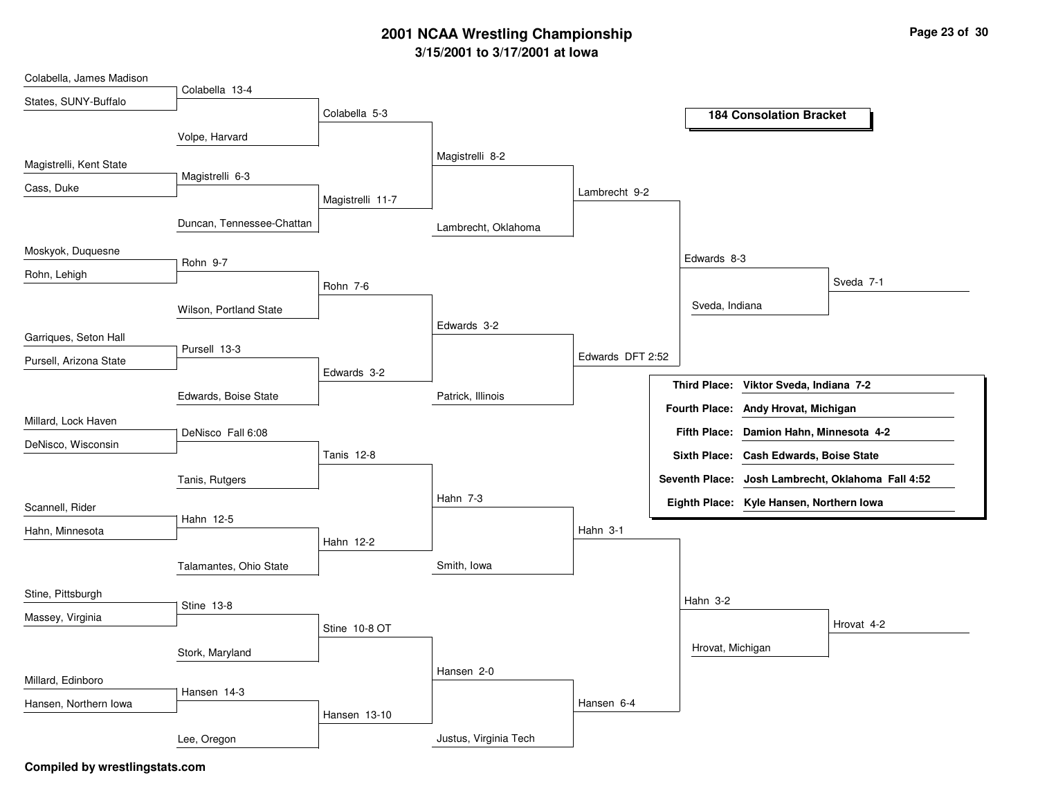## **3/15/2001 to 3/17/2001 at Iowa 2001 NCAA Wrestling Championship Page <sup>23</sup> of <sup>30</sup>**

| Colabella, James Madison |                           |                   |                       |                  |                                                             |
|--------------------------|---------------------------|-------------------|-----------------------|------------------|-------------------------------------------------------------|
| States, SUNY-Buffalo     | Colabella 13-4            |                   |                       |                  |                                                             |
|                          |                           | Colabella 5-3     |                       |                  | <b>184 Consolation Bracket</b>                              |
|                          | Volpe, Harvard            |                   |                       |                  |                                                             |
| Magistrelli, Kent State  |                           |                   | Magistrelli 8-2       |                  |                                                             |
| Cass, Duke               | Magistrelli 6-3           |                   |                       |                  |                                                             |
|                          |                           | Magistrelli 11-7  |                       | Lambrecht 9-2    |                                                             |
|                          | Duncan, Tennessee-Chattan |                   | Lambrecht, Oklahoma   |                  |                                                             |
| Moskyok, Duquesne        | Rohn 9-7                  |                   |                       |                  | Edwards 8-3                                                 |
| Rohn, Lehigh             |                           | Rohn 7-6          |                       |                  | Sveda 7-1                                                   |
|                          | Wilson, Portland State    |                   |                       |                  | Sveda, Indiana                                              |
| Garriques, Seton Hall    |                           |                   | Edwards 3-2           |                  |                                                             |
| Pursell, Arizona State   | Pursell 13-3              |                   |                       | Edwards DFT 2:52 |                                                             |
|                          |                           | Edwards 3-2       |                       |                  |                                                             |
|                          | Edwards, Boise State      |                   | Patrick, Illinois     |                  | <b>Third Place:</b><br>Viktor Sveda, Indiana 7-2            |
| Millard, Lock Haven      |                           |                   |                       |                  | Fourth Place: Andy Hrovat, Michigan                         |
|                          | DeNisco Fall 6:08         |                   |                       |                  | <b>Fifth Place:</b><br>Damion Hahn, Minnesota 4-2           |
| DeNisco, Wisconsin       |                           | <b>Tanis 12-8</b> |                       |                  | Sixth Place: Cash Edwards, Boise State                      |
|                          | Tanis, Rutgers            |                   |                       |                  | <b>Seventh Place:</b><br>Josh Lambrecht, Oklahoma Fall 4:52 |
| Scannell, Rider          |                           |                   | Hahn 7-3              |                  | Eighth Place: Kyle Hansen, Northern Iowa                    |
|                          | Hahn 12-5                 |                   |                       |                  |                                                             |
| Hahn, Minnesota          |                           | Hahn 12-2         |                       | Hahn 3-1         |                                                             |
|                          | Talamantes, Ohio State    |                   | Smith, Iowa           |                  |                                                             |
| Stine, Pittsburgh        |                           |                   |                       |                  |                                                             |
| Massey, Virginia         | Stine 13-8                |                   |                       |                  | Hahn 3-2                                                    |
|                          |                           | Stine 10-8 OT     |                       |                  | Hrovat 4-2                                                  |
|                          | Stork, Maryland           |                   |                       |                  | Hrovat, Michigan                                            |
| Millard, Edinboro        |                           |                   | Hansen 2-0            |                  |                                                             |
|                          | Hansen 14-3               |                   |                       | Hansen 6-4       |                                                             |
| Hansen, Northern Iowa    |                           | Hansen 13-10      |                       |                  |                                                             |
|                          | Lee, Oregon               |                   | Justus, Virginia Tech |                  |                                                             |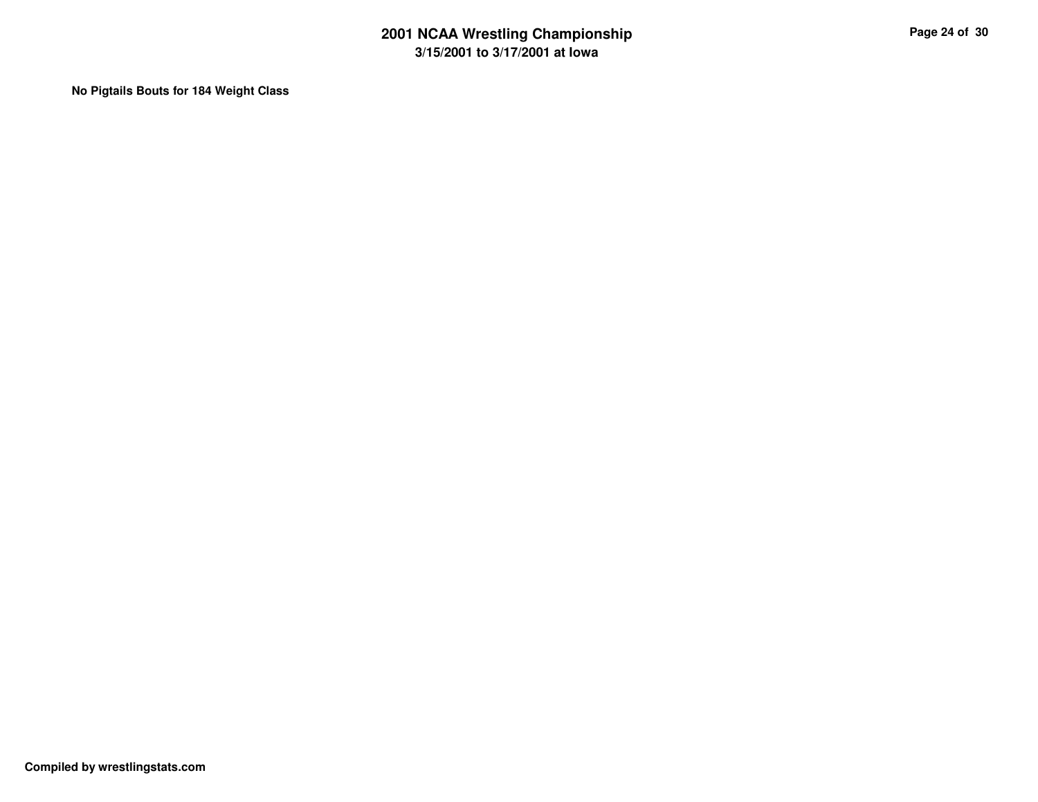**No Pigtails Bouts for 184 Weight Class**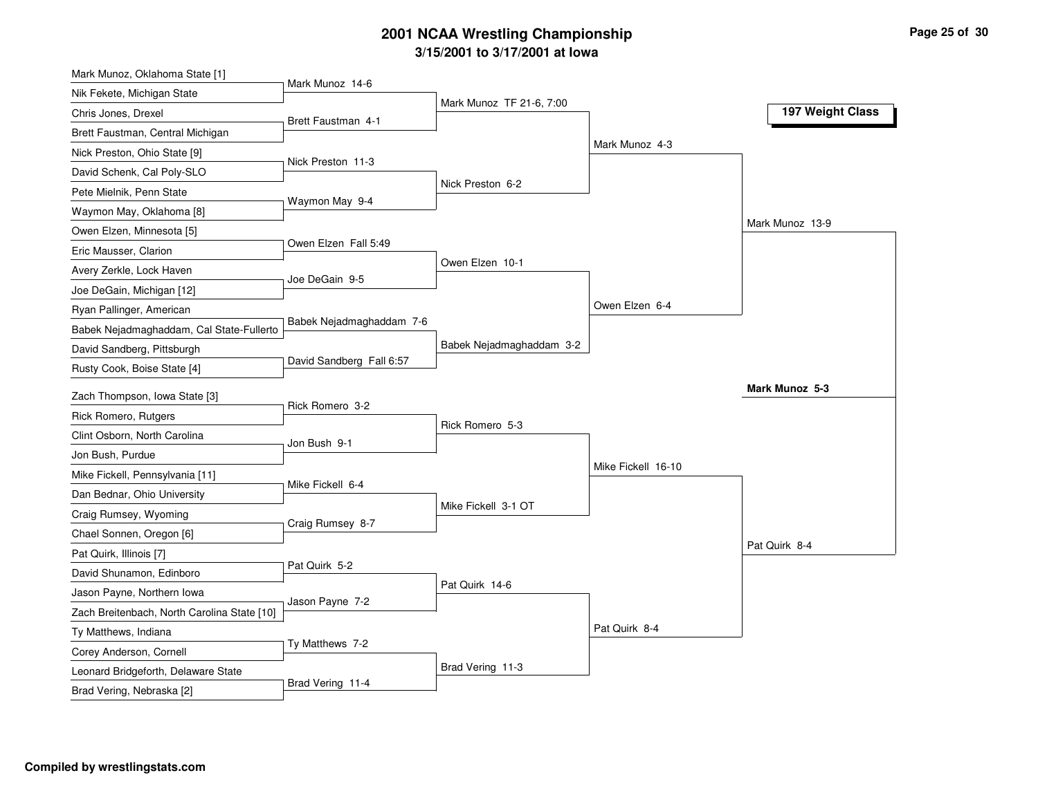# **3/15/2001 to 3/17/2001 at Iowa 2001 NCAA Wrestling Championship Page <sup>25</sup> of <sup>30</sup>**

| Mark Munoz, Oklahoma State [1]              |                          |                          |                    |                  |
|---------------------------------------------|--------------------------|--------------------------|--------------------|------------------|
| Nik Fekete, Michigan State                  | Mark Munoz 14-6          |                          |                    |                  |
| Chris Jones, Drexel                         | Brett Faustman 4-1       | Mark Munoz TF 21-6, 7:00 |                    | 197 Weight Class |
| Brett Faustman, Central Michigan            |                          |                          |                    |                  |
| Nick Preston, Ohio State [9]                |                          |                          | Mark Munoz 4-3     |                  |
| David Schenk, Cal Poly-SLO                  | Nick Preston 11-3        |                          |                    |                  |
| Pete Mielnik, Penn State                    |                          | Nick Preston 6-2         |                    |                  |
| Waymon May, Oklahoma [8]                    | Waymon May 9-4           |                          |                    |                  |
| Owen Elzen, Minnesota [5]                   |                          |                          |                    | Mark Munoz 13-9  |
| Eric Mausser, Clarion                       | Owen Elzen Fall 5:49     |                          |                    |                  |
| Avery Zerkle, Lock Haven                    |                          | Owen Elzen 10-1          |                    |                  |
| Joe DeGain, Michigan [12]                   | Joe DeGain 9-5           |                          |                    |                  |
| Ryan Pallinger, American                    |                          |                          | Owen Elzen 6-4     |                  |
| Babek Nejadmaghaddam, Cal State-Fullerto    | Babek Nejadmaghaddam 7-6 |                          |                    |                  |
| David Sandberg, Pittsburgh                  |                          | Babek Nejadmaghaddam 3-2 |                    |                  |
| Rusty Cook, Boise State [4]                 | David Sandberg Fall 6:57 |                          |                    |                  |
| Zach Thompson, Iowa State [3]               |                          |                          |                    | Mark Munoz 5-3   |
| Rick Romero, Rutgers                        | Rick Romero 3-2          |                          |                    |                  |
| Clint Osborn, North Carolina                |                          | Rick Romero 5-3          |                    |                  |
| Jon Bush, Purdue                            | Jon Bush 9-1             |                          |                    |                  |
| Mike Fickell, Pennsylvania [11]             |                          |                          | Mike Fickell 16-10 |                  |
| Dan Bednar, Ohio University                 | Mike Fickell 6-4         |                          |                    |                  |
| Craig Rumsey, Wyoming                       |                          | Mike Fickell 3-1 OT      |                    |                  |
| Chael Sonnen, Oregon [6]                    | Craig Rumsey 8-7         |                          |                    |                  |
| Pat Quirk, Illinois [7]                     |                          |                          |                    | Pat Quirk 8-4    |
| David Shunamon, Edinboro                    | Pat Quirk 5-2            |                          |                    |                  |
| Jason Payne, Northern Iowa                  |                          | Pat Quirk 14-6           |                    |                  |
| Zach Breitenbach, North Carolina State [10] | Jason Payne 7-2          |                          |                    |                  |
| Ty Matthews, Indiana                        |                          |                          | Pat Quirk 8-4      |                  |
| Corey Anderson, Cornell                     | Ty Matthews 7-2          |                          |                    |                  |
| Leonard Bridgeforth, Delaware State         |                          | Brad Vering 11-3         |                    |                  |
| Brad Vering, Nebraska [2]                   | Brad Vering 11-4         |                          |                    |                  |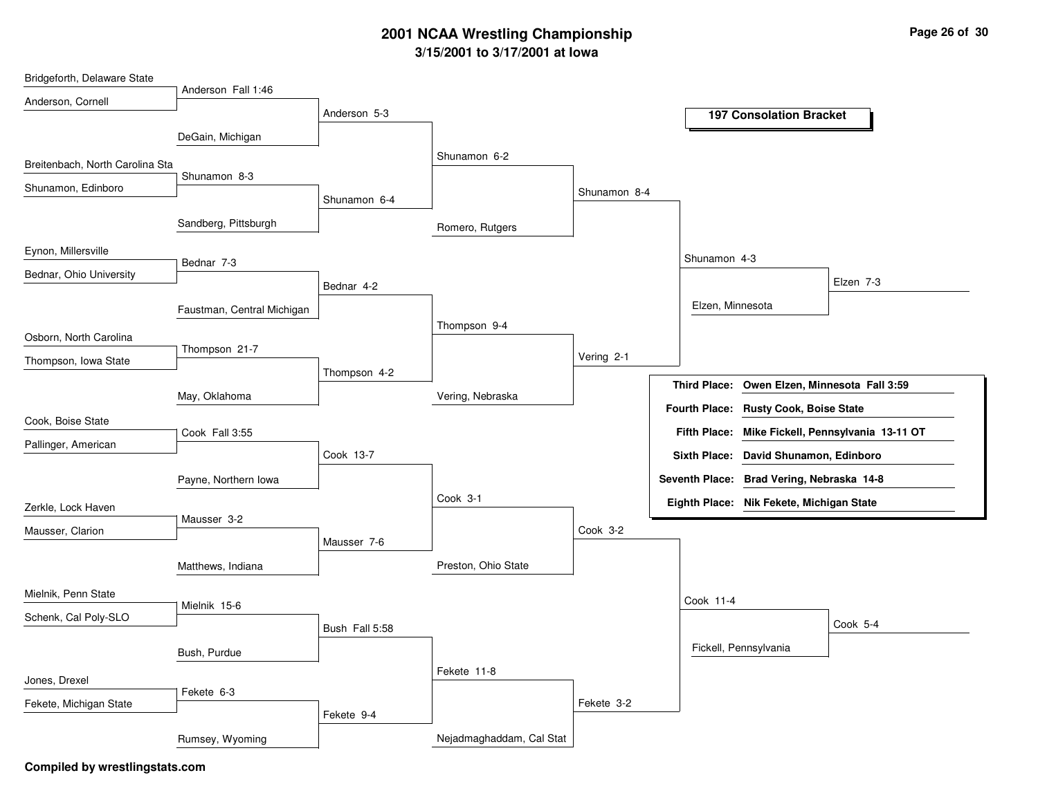## **3/15/2001 to 3/17/2001 at Iowa 2001 NCAA Wrestling Championship Page <sup>26</sup> of <sup>30</sup>**

| Bridgeforth, Delaware State     |                            |                |                          |              |                                                        |
|---------------------------------|----------------------------|----------------|--------------------------|--------------|--------------------------------------------------------|
| Anderson, Cornell               | Anderson Fall 1:46         |                |                          |              |                                                        |
|                                 |                            | Anderson 5-3   |                          |              | <b>197 Consolation Bracket</b>                         |
|                                 | DeGain, Michigan           |                |                          |              |                                                        |
| Breitenbach, North Carolina Sta |                            |                | Shunamon 6-2             |              |                                                        |
| Shunamon, Edinboro              | Shunamon 8-3               |                |                          |              |                                                        |
|                                 |                            | Shunamon 6-4   |                          | Shunamon 8-4 |                                                        |
|                                 | Sandberg, Pittsburgh       |                | Romero, Rutgers          |              |                                                        |
| Eynon, Millersville             |                            |                |                          |              | Shunamon 4-3                                           |
| Bednar, Ohio University         | Bednar 7-3                 |                |                          |              | Elzen 7-3                                              |
|                                 |                            | Bednar 4-2     |                          |              |                                                        |
|                                 | Faustman, Central Michigan |                |                          |              | Elzen, Minnesota                                       |
| Osborn, North Carolina          |                            |                | Thompson 9-4             |              |                                                        |
| Thompson, Iowa State            | Thompson 21-7              |                |                          | Vering 2-1   |                                                        |
|                                 |                            | Thompson 4-2   |                          |              | <b>Third Place:</b><br>Owen Elzen, Minnesota Fall 3:59 |
|                                 | May, Oklahoma              |                | Vering, Nebraska         |              |                                                        |
| Cook, Boise State               |                            |                |                          |              | Fourth Place: Rusty Cook, Boise State                  |
| Pallinger, American             | Cook Fall 3:55             |                |                          |              | Fifth Place: Mike Fickell, Pennsylvania 13-11 OT       |
|                                 |                            | Cook 13-7      |                          |              | Sixth Place: David Shunamon, Edinboro                  |
|                                 | Payne, Northern Iowa       |                |                          |              | Seventh Place: Brad Vering, Nebraska 14-8              |
| Zerkle, Lock Haven              |                            |                | Cook 3-1                 |              | Eighth Place: Nik Fekete, Michigan State               |
| Mausser, Clarion                | Mausser 3-2                |                |                          | Cook 3-2     |                                                        |
|                                 |                            | Mausser 7-6    |                          |              |                                                        |
|                                 | Matthews, Indiana          |                | Preston, Ohio State      |              |                                                        |
| Mielnik, Penn State             |                            |                |                          |              | Cook 11-4                                              |
| Schenk, Cal Poly-SLO            | Mielnik 15-6               |                |                          |              | Cook 5-4                                               |
|                                 |                            | Bush Fall 5:58 |                          |              |                                                        |
|                                 | Bush, Purdue               |                |                          |              | Fickell, Pennsylvania                                  |
| Jones, Drexel                   |                            |                | Fekete 11-8              |              |                                                        |
| Fekete, Michigan State          | Fekete 6-3                 |                |                          | Fekete 3-2   |                                                        |
|                                 |                            | Fekete 9-4     |                          |              |                                                        |
|                                 | Rumsey, Wyoming            |                | Nejadmaghaddam, Cal Stat |              |                                                        |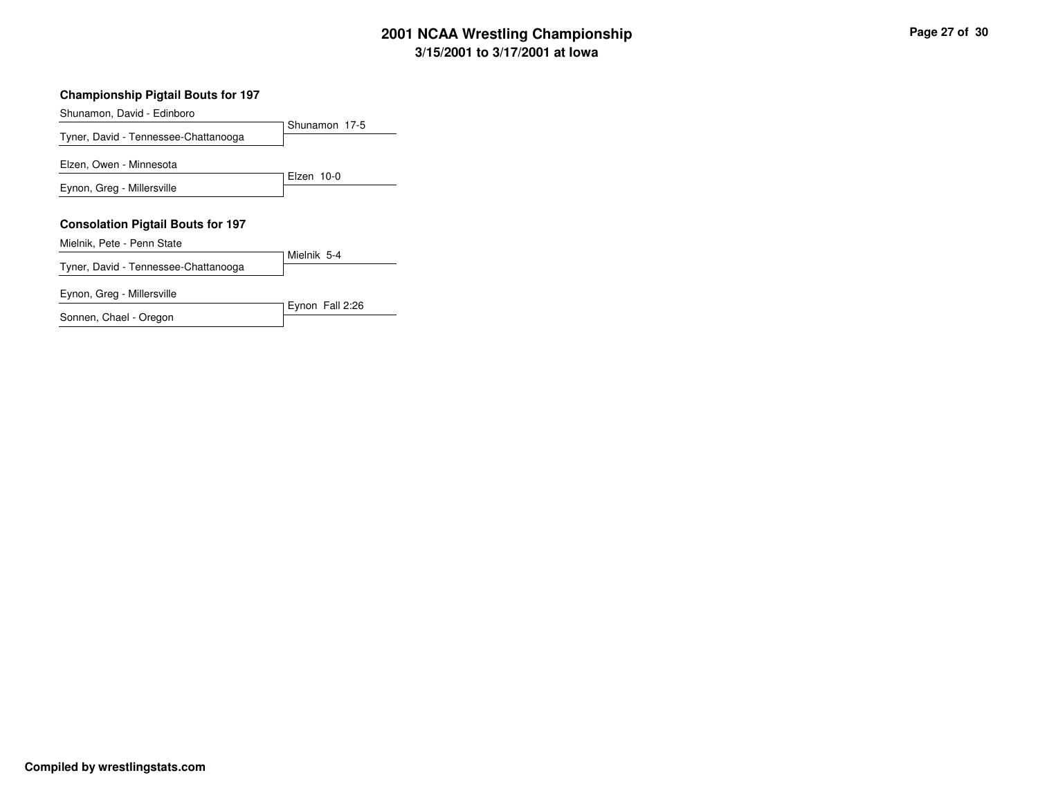# **3/15/2001 to 3/17/2001 at Iowa 2001 NCAA Wrestling Championship Page <sup>27</sup> of <sup>30</sup>**

#### **Championship Pigtail Bouts for 197**

Shunamon, David - Edinboro

Shunamon 17-5 Tyner, David - Tennessee-Chattanooga Elzen 10-0 Elzen, Owen - Minnesota Eynon, Greg - Millersville **Consolation Pigtail Bouts for 197** Mielnik 5-4 Mielnik, Pete - Penn State

Eynon Fall 2:26

Tyner, David - Tennessee-Chattanooga

Eynon, Greg - Millersville

Sonnen, Chael - Oregon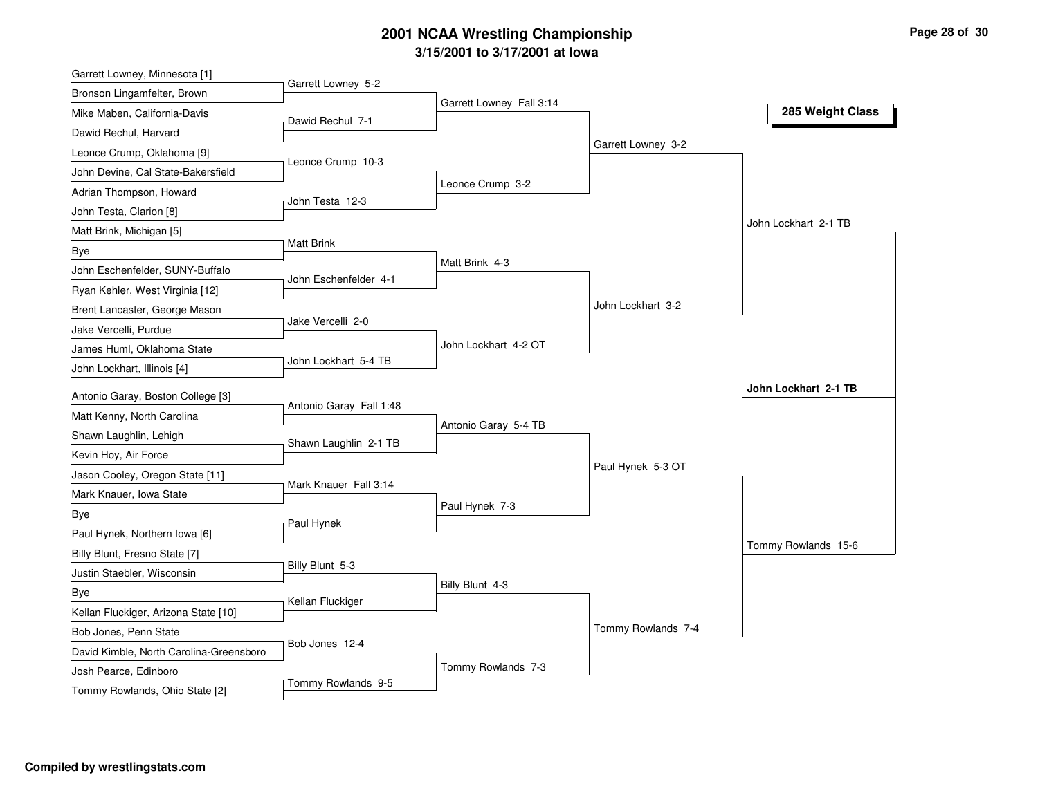# **3/15/2001 to 3/17/2001 at Iowa 2001 NCAA Wrestling Championship Page <sup>28</sup> of <sup>30</sup>**

| Garrett Lowney, Minnesota [1]           |                         |                          |                    |                      |
|-----------------------------------------|-------------------------|--------------------------|--------------------|----------------------|
| Bronson Lingamfelter, Brown             | Garrett Lowney 5-2      |                          |                    |                      |
| Mike Maben, California-Davis            | Dawid Rechul 7-1        | Garrett Lowney Fall 3:14 |                    | 285 Weight Class     |
| Dawid Rechul, Harvard                   |                         |                          |                    |                      |
| Leonce Crump, Oklahoma [9]              |                         |                          | Garrett Lowney 3-2 |                      |
| John Devine, Cal State-Bakersfield      | Leonce Crump 10-3       |                          |                    |                      |
| Adrian Thompson, Howard                 |                         | Leonce Crump 3-2         |                    |                      |
| John Testa, Clarion [8]                 | John Testa 12-3         |                          |                    |                      |
| Matt Brink, Michigan [5]                |                         |                          |                    | John Lockhart 2-1 TB |
| Bye                                     | <b>Matt Brink</b>       |                          |                    |                      |
| John Eschenfelder, SUNY-Buffalo         |                         | Matt Brink 4-3           |                    |                      |
| Ryan Kehler, West Virginia [12]         | John Eschenfelder 4-1   |                          |                    |                      |
| Brent Lancaster, George Mason           |                         |                          | John Lockhart 3-2  |                      |
| Jake Vercelli, Purdue                   | Jake Vercelli 2-0       |                          |                    |                      |
| James Huml, Oklahoma State              |                         | John Lockhart 4-2 OT     |                    |                      |
| John Lockhart, Illinois [4]             | John Lockhart 5-4 TB    |                          |                    |                      |
|                                         |                         |                          |                    | John Lockhart 2-1 TB |
| Antonio Garay, Boston College [3]       | Antonio Garay Fall 1:48 |                          |                    |                      |
| Matt Kenny, North Carolina              |                         | Antonio Garay 5-4 TB     |                    |                      |
| Shawn Laughlin, Lehigh                  | Shawn Laughlin 2-1 TB   |                          |                    |                      |
| Kevin Hoy, Air Force                    |                         |                          | Paul Hynek 5-3 OT  |                      |
| Jason Cooley, Oregon State [11]         | Mark Knauer Fall 3:14   |                          |                    |                      |
| Mark Knauer, Iowa State                 |                         | Paul Hynek 7-3           |                    |                      |
| Bye                                     | Paul Hynek              |                          |                    |                      |
| Paul Hynek, Northern Iowa [6]           |                         |                          |                    | Tommy Rowlands 15-6  |
| Billy Blunt, Fresno State [7]           | Billy Blunt 5-3         |                          |                    |                      |
| Justin Staebler, Wisconsin              |                         | Billy Blunt 4-3          |                    |                      |
| Bye                                     | Kellan Fluckiger        |                          |                    |                      |
| Kellan Fluckiger, Arizona State [10]    |                         |                          |                    |                      |
| Bob Jones, Penn State                   | Bob Jones 12-4          |                          | Tommy Rowlands 7-4 |                      |
| David Kimble, North Carolina-Greensboro |                         |                          |                    |                      |
| Josh Pearce, Edinboro                   |                         | Tommy Rowlands 7-3       |                    |                      |
| Tommy Rowlands, Ohio State [2]          | Tommy Rowlands 9-5      |                          |                    |                      |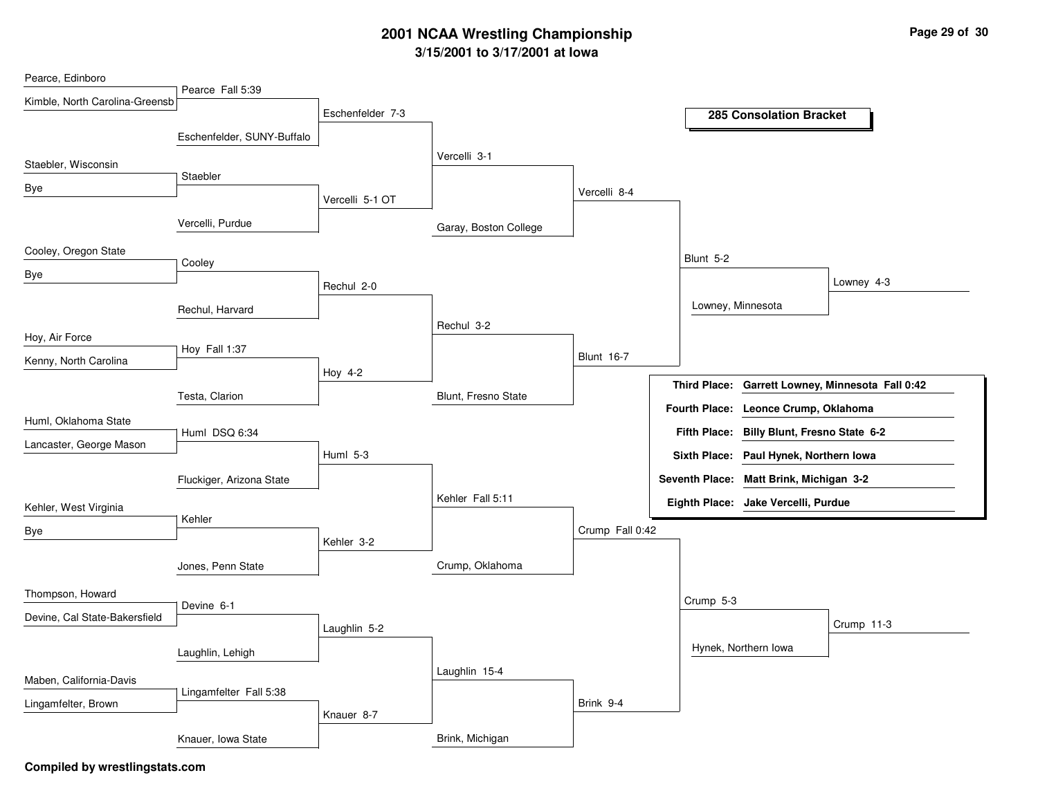# **3/15/2001 to 3/17/2001 at Iowa 2001 NCAA Wrestling Championship Page <sup>29</sup> of <sup>30</sup>**

| Pearce, Edinboro               |                            |                  |                       |                   |                      |                                            |                                                  |
|--------------------------------|----------------------------|------------------|-----------------------|-------------------|----------------------|--------------------------------------------|--------------------------------------------------|
| Kimble, North Carolina-Greensb | Pearce Fall 5:39           |                  |                       |                   |                      |                                            |                                                  |
|                                |                            | Eschenfelder 7-3 |                       |                   |                      | <b>285 Consolation Bracket</b>             |                                                  |
|                                | Eschenfelder, SUNY-Buffalo |                  |                       |                   |                      |                                            |                                                  |
| Staebler, Wisconsin            |                            |                  | Vercelli 3-1          |                   |                      |                                            |                                                  |
| Bye                            | Staebler                   |                  |                       |                   |                      |                                            |                                                  |
|                                |                            | Vercelli 5-1 OT  |                       | Vercelli 8-4      |                      |                                            |                                                  |
|                                | Vercelli, Purdue           |                  | Garay, Boston College |                   |                      |                                            |                                                  |
| Cooley, Oregon State           |                            |                  |                       |                   |                      |                                            |                                                  |
|                                | Cooley                     |                  |                       |                   | Blunt 5-2            |                                            |                                                  |
| Bye                            |                            | Rechul 2-0       |                       |                   |                      |                                            | Lowney 4-3                                       |
|                                | Rechul, Harvard            |                  |                       |                   |                      | Lowney, Minnesota                          |                                                  |
|                                |                            |                  | Rechul 3-2            |                   |                      |                                            |                                                  |
| Hoy, Air Force                 | Hoy Fall 1:37              |                  |                       |                   |                      |                                            |                                                  |
| Kenny, North Carolina          |                            | Hoy 4-2          |                       | <b>Blunt 16-7</b> |                      |                                            |                                                  |
|                                | Testa, Clarion             |                  | Blunt, Fresno State   |                   |                      |                                            | Third Place: Garrett Lowney, Minnesota Fall 0:42 |
|                                |                            |                  |                       |                   | <b>Fourth Place:</b> | Leonce Crump, Oklahoma                     |                                                  |
| Huml, Oklahoma State           | Huml DSQ 6:34              |                  |                       |                   |                      | Fifth Place: Billy Blunt, Fresno State 6-2 |                                                  |
| Lancaster, George Mason        |                            | Huml 5-3         |                       |                   |                      | Sixth Place: Paul Hynek, Northern Iowa     |                                                  |
|                                | Fluckiger, Arizona State   |                  |                       |                   |                      | Seventh Place: Matt Brink, Michigan 3-2    |                                                  |
|                                |                            |                  | Kehler Fall 5:11      |                   |                      | Eighth Place: Jake Vercelli, Purdue        |                                                  |
| Kehler, West Virginia          | Kehler                     |                  |                       |                   |                      |                                            |                                                  |
| Bye                            |                            | Kehler 3-2       |                       | Crump Fall 0:42   |                      |                                            |                                                  |
|                                |                            |                  |                       |                   |                      |                                            |                                                  |
|                                | Jones, Penn State          |                  | Crump, Oklahoma       |                   |                      |                                            |                                                  |
| Thompson, Howard               | Devine 6-1                 |                  |                       |                   | Crump 5-3            |                                            |                                                  |
| Devine, Cal State-Bakersfield  |                            |                  |                       |                   |                      |                                            | Crump 11-3                                       |
|                                |                            | Laughlin 5-2     |                       |                   |                      |                                            |                                                  |
|                                | Laughlin, Lehigh           |                  |                       |                   |                      | Hynek, Northern Iowa                       |                                                  |
| Maben, California-Davis        |                            |                  | Laughlin 15-4         |                   |                      |                                            |                                                  |
| Lingamfelter, Brown            | Lingamfelter Fall 5:38     |                  |                       | Brink 9-4         |                      |                                            |                                                  |
|                                |                            | Knauer 8-7       |                       |                   |                      |                                            |                                                  |
|                                | Knauer, Iowa State         |                  | Brink, Michigan       |                   |                      |                                            |                                                  |